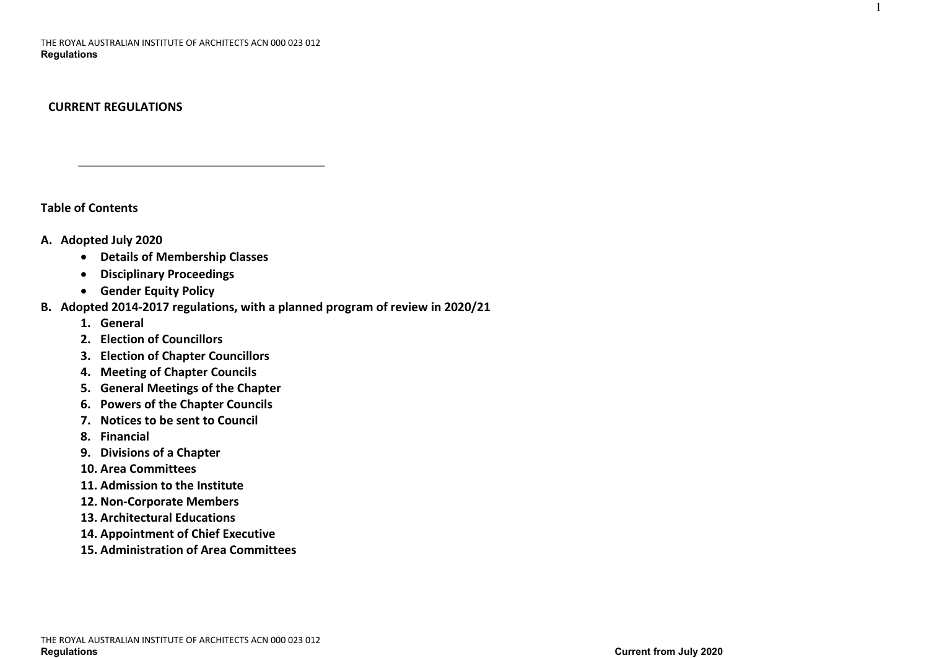# **CURRENT REGULATIONS**

**Table of Contents**

# **A. Adopted July 2020**

- **Details of Membership Classes**
- **Disciplinary Proceedings**
- **Gender Equity Policy**

# **B. Adopted 2014-2017 regulations, with a planned program of review in 2020/21**

- **1. General**
- **2. Election of Councillors**
- **3. Election of Chapter Councillors**
- **4. Meeting of Chapter Councils**
- **5. General Meetings of the Chapter**
- **6. Powers of the Chapter Councils**
- **7. Notices to be sent to Council**
- **8. Financial**
- **9. Divisions of a Chapter**
- **10. Area Committees**
- **11. Admission to the Institute**
- **12. Non-Corporate Members**
- **13. Architectural Educations**
- **14. Appointment of Chief Executive**
- **15. Administration of Area Committees**

1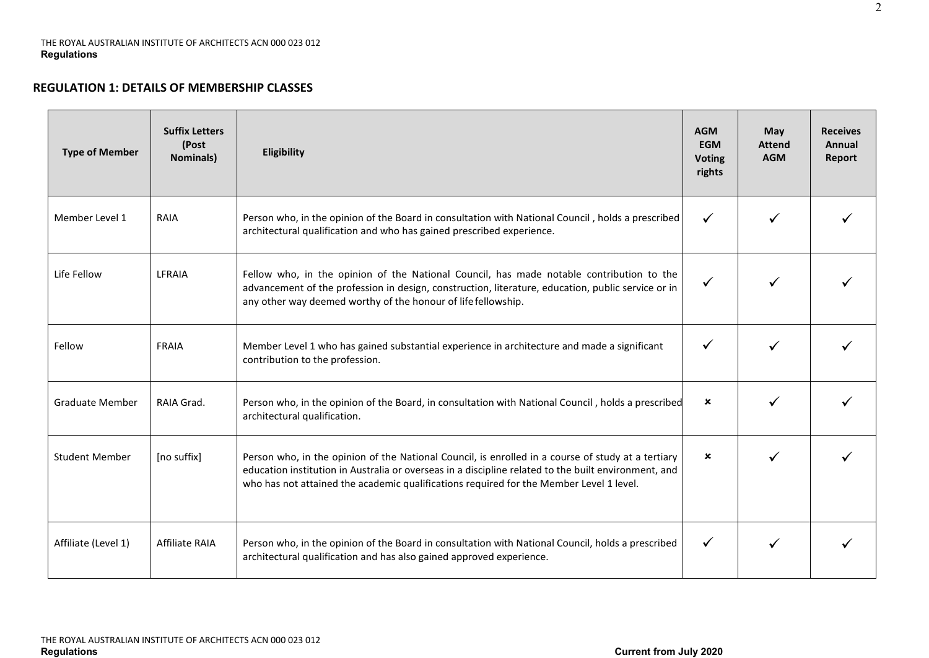# **REGULATION 1: DETAILS OF MEMBERSHIP CLASSES**

| <b>Type of Member</b>  | <b>Suffix Letters</b><br>(Post<br><b>Nominals)</b> | Eligibility                                                                                                                                                                                                                                                                                           | <b>AGM</b><br><b>EGM</b><br><b>Voting</b><br>rights | May<br><b>Attend</b><br><b>AGM</b> | <b>Receives</b><br>Annual<br>Report |
|------------------------|----------------------------------------------------|-------------------------------------------------------------------------------------------------------------------------------------------------------------------------------------------------------------------------------------------------------------------------------------------------------|-----------------------------------------------------|------------------------------------|-------------------------------------|
| Member Level 1         | RAIA                                               | Person who, in the opinion of the Board in consultation with National Council, holds a prescribed<br>architectural qualification and who has gained prescribed experience.                                                                                                                            | $\checkmark$                                        |                                    |                                     |
| Life Fellow            | LFRAIA                                             | Fellow who, in the opinion of the National Council, has made notable contribution to the<br>advancement of the profession in design, construction, literature, education, public service or in<br>any other way deemed worthy of the honour of life fellowship.                                       | ✓                                                   |                                    |                                     |
| Fellow                 | <b>FRAIA</b>                                       | Member Level 1 who has gained substantial experience in architecture and made a significant<br>contribution to the profession.                                                                                                                                                                        | ✓                                                   |                                    |                                     |
| <b>Graduate Member</b> | RAIA Grad.                                         | Person who, in the opinion of the Board, in consultation with National Council, holds a prescribed<br>architectural qualification.                                                                                                                                                                    | $\boldsymbol{\mathsf{x}}$                           |                                    |                                     |
| <b>Student Member</b>  | [no suffix]                                        | Person who, in the opinion of the National Council, is enrolled in a course of study at a tertiary<br>education institution in Australia or overseas in a discipline related to the built environment, and<br>who has not attained the academic qualifications required for the Member Level 1 level. | $\mathbf x$                                         |                                    |                                     |
| Affiliate (Level 1)    | <b>Affiliate RAIA</b>                              | Person who, in the opinion of the Board in consultation with National Council, holds a prescribed<br>architectural qualification and has also gained approved experience.                                                                                                                             | ✓                                                   |                                    |                                     |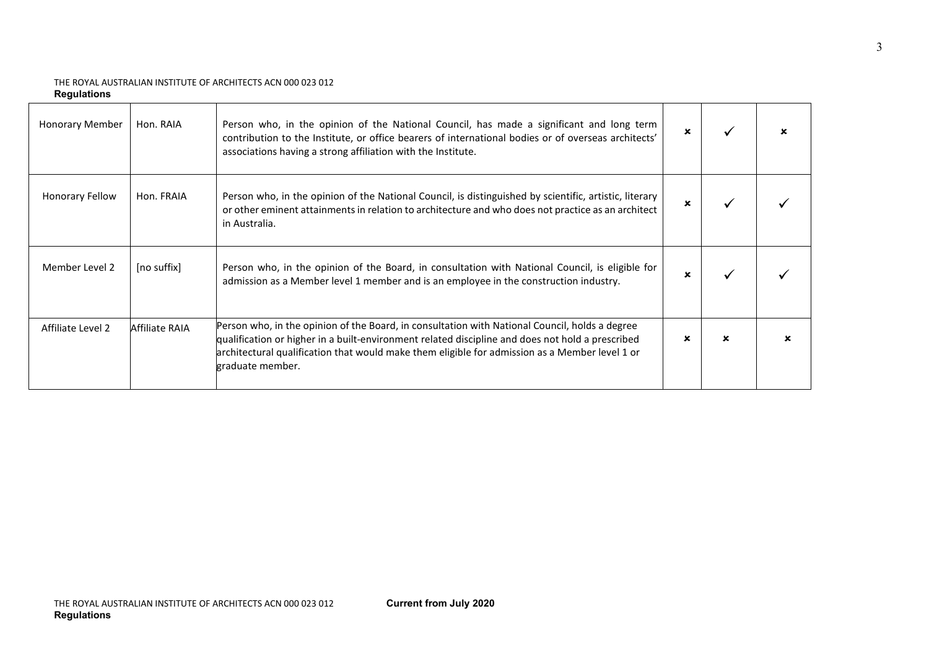| Honorary Member        | Hon. RAIA      | Person who, in the opinion of the National Council, has made a significant and long term<br>contribution to the Institute, or office bearers of international bodies or of overseas architects'<br>associations having a strong affiliation with the Institute.                                                          | $\mathbf x$ |   |  |
|------------------------|----------------|--------------------------------------------------------------------------------------------------------------------------------------------------------------------------------------------------------------------------------------------------------------------------------------------------------------------------|-------------|---|--|
| <b>Honorary Fellow</b> | Hon. FRAIA     | Person who, in the opinion of the National Council, is distinguished by scientific, artistic, literary<br>or other eminent attainments in relation to architecture and who does not practice as an architect<br>in Australia.                                                                                            |             |   |  |
| Member Level 2         | [no suffix]    | Person who, in the opinion of the Board, in consultation with National Council, is eligible for<br>admission as a Member level 1 member and is an employee in the construction industry.                                                                                                                                 |             |   |  |
| Affiliate Level 2      | Affiliate RAIA | Person who, in the opinion of the Board, in consultation with National Council, holds a degree<br>qualification or higher in a built-environment related discipline and does not hold a prescribed<br>architectural qualification that would make them eligible for admission as a Member level 1 or<br>graduate member. | ×           | × |  |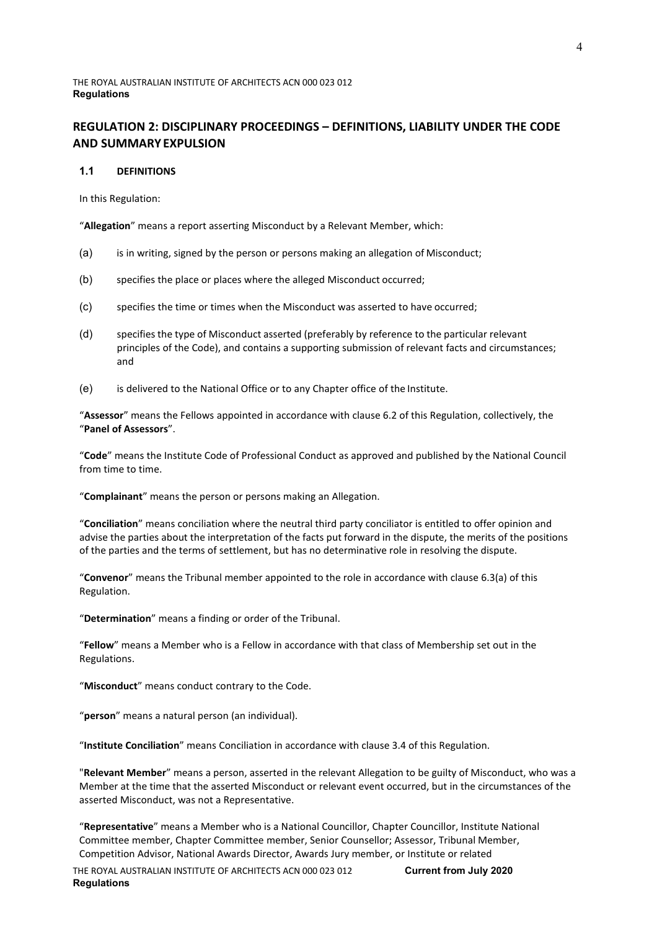# **REGULATION 2: DISCIPLINARY PROCEEDINGS – DEFINITIONS, LIABILITY UNDER THE CODE AND SUMMARY EXPULSION**

## **1.1 DEFINITIONS**

In this Regulation:

"**Allegation**" means a report asserting Misconduct by a Relevant Member, which:

- (a) is in writing, signed by the person or persons making an allegation of Misconduct;
- (b) specifies the place or places where the alleged Misconduct occurred;
- (c) specifies the time or times when the Misconduct was asserted to have occurred;
- (d) specifies the type of Misconduct asserted (preferably by reference to the particular relevant principles of the Code), and contains a supporting submission of relevant facts and circumstances; and
- (e) is delivered to the National Office or to any Chapter office of the Institute.

"**Assessor**" means the Fellows appointed in accordance with clause [6.2 o](#page-10-0)f this Regulation, collectively, the "**Panel of Assessors**".

"**Code**" means the Institute Code of Professional Conduct as approved and published by the National Council from time to time.

"**Complainant**" means the person or persons making an Allegation.

"**Conciliation**" means conciliation where the neutral third party conciliator is entitled to offer opinion and advise the parties about the interpretation of the facts put forward in the dispute, the merits of the positions of the parties and the terms of settlement, but has no determinative role in resolving the dispute.

"**Convenor**" means the Tribunal member appointed to the role in accordance with clause [6.3\(a\) o](#page-10-1)f this Regulation.

"**Determination**" means a finding or order of the Tribunal.

"**Fellow**" means a Member who is a Fellow in accordance with that class of Membership set out in the Regulations.

"**Misconduct**" means conduct contrary to the Code.

"**person**" means a natural person (an individual).

"**Institute Conciliation**" means Conciliation in accordance with claus[e 3.4 o](#page-5-0)f this Regulation.

"**Relevant Member**" means a person, asserted in the relevant Allegation to be guilty of Misconduct, who was a Member at the time that the asserted Misconduct or relevant event occurred, but in the circumstances of the asserted Misconduct, was not a Representative.

"**Representative**" means a Member who is a National Councillor, Chapter Councillor, Institute National Committee member, Chapter Committee member, Senior Counsellor; Assessor, Tribunal Member, Competition Advisor, National Awards Director, Awards Jury member, or Institute or related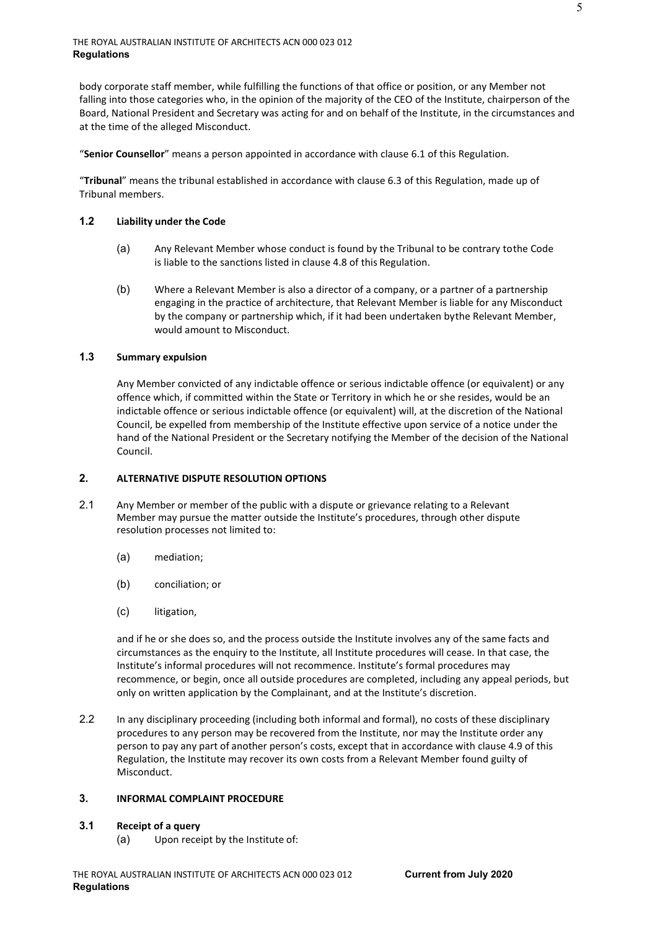body corporate staff member, while fulfilling the functions of that office or position, or any Member not falling into those categories who, in the opinion of the majority of the CEO of the Institute, chairperson of the Board, National President and Secretary was acting for and on behalf of the Institute, in the circumstances and at the time of the alleged Misconduct.

"**Senior Counsellor**" means a person appointed in accordance with clause [6.1 o](#page-10-2)f this Regulation.

"**Tribunal**" means the tribunal established in accordance with claus[e 6.3 o](#page-10-3)f this Regulation, made up of Tribunal members.

## **1.2 Liability under the Code**

- (a) Any Relevant Member whose conduct is found by the Tribunal to be contrary tothe Code is liable to the sanctions listed in claus[e 4.8 o](#page-8-0)f this Regulation.
- (b) Where a Relevant Member is also a director of a company, or a partner of a partnership engaging in the practice of architecture, that Relevant Member is liable for any Misconduct by the company or partnership which, if it had been undertaken bythe Relevant Member, would amount to Misconduct.

# **1.3 Summary expulsion**

Any Member convicted of any indictable offence or serious indictable offence (or equivalent) or any offence which, if committed within the State or Territory in which he or she resides, would be an indictable offence or serious indictable offence (or equivalent) will, at the discretion of the National Council, be expelled from membership of the Institute effective upon service of a notice under the hand of the National President or the Secretary notifying the Member of the decision of the National Council.

# **2. ALTERNATIVE DISPUTE RESOLUTION OPTIONS**

- 2.1 Any Member or member of the public with a dispute or grievance relating to a Relevant Member may pursue the matter outside the Institute's procedures, through other dispute resolution processes not limited to:
	- (a) mediation;
	- (b) conciliation; or
	- (c) litigation,

and if he or she does so, and the process outside the Institute involves any of the same facts and circumstances as the enquiry to the Institute, all Institute procedures will cease. In that case, the Institute's informal procedures will not recommence. Institute's formal procedures may recommence, or begin, once all outside procedures are completed, including any appeal periods, but only on written application by the Complainant, and at the Institute's discretion.

2.2 In any disciplinary proceeding (including both informal and formal), no costs of these disciplinary procedures to any person may be recovered from the Institute, nor may the Institute order any person to pay any part of another person's costs, except that in accordance with clause [4.9 o](#page-8-1)f this Regulation, the Institute may recover its own costs from a Relevant Member found guilty of Misconduct.

#### <span id="page-4-0"></span>**3. INFORMAL COMPLAINT PROCEDURE**

#### **3.1 Receipt of a query**

(a) Upon receipt by the Institute of: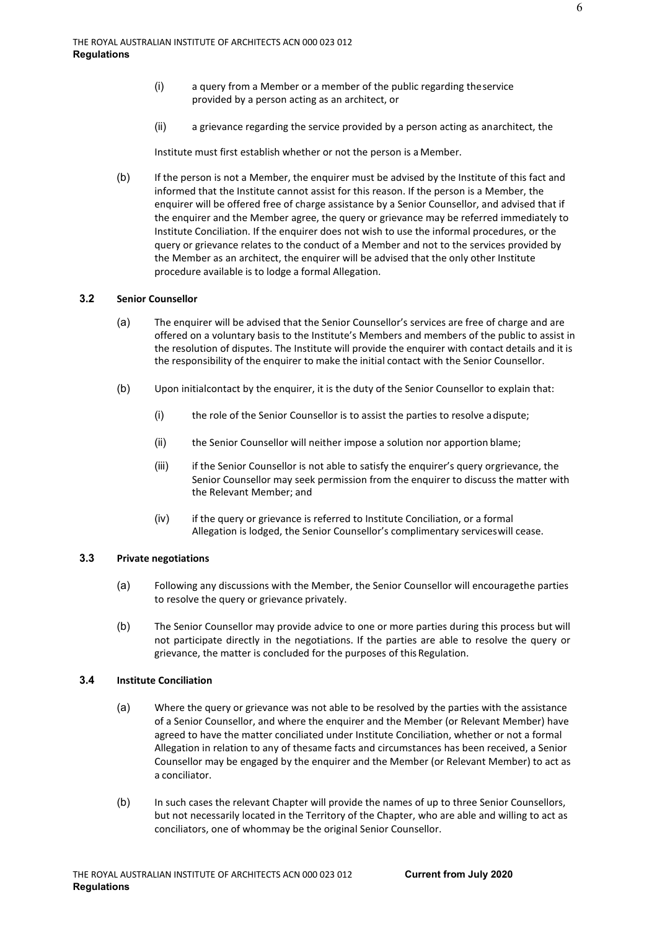- (i) a query from a Member or a member of the public regarding theservice provided by a person acting as an architect, or
- (ii) a grievance regarding the service provided by a person acting as anarchitect, the

Institute must first establish whether or not the person is a Member.

(b) If the person is not a Member, the enquirer must be advised by the Institute of this fact and informed that the Institute cannot assist for this reason. If the person is a Member, the enquirer will be offered free of charge assistance by a Senior Counsellor, and advised that if the enquirer and the Member agree, the query or grievance may be referred immediately to Institute Conciliation. If the enquirer does not wish to use the informal procedures, or the query or grievance relates to the conduct of a Member and not to the services provided by the Member as an architect, the enquirer will be advised that the only other Institute procedure available is to lodge a formal Allegation.

# **3.2 Senior Counsellor**

- (a) The enquirer will be advised that the Senior Counsellor's services are free of charge and are offered on a voluntary basis to the Institute's Members and members of the public to assist in the resolution of disputes. The Institute will provide the enquirer with contact details and it is the responsibility of the enquirer to make the initial contact with the Senior Counsellor.
- (b) Upon initialcontact by the enquirer, it is the duty of the Senior Counsellor to explain that:
	- (i) the role of the Senior Counsellor is to assist the parties to resolve adispute;
	- (ii) the Senior Counsellor will neither impose a solution nor apportion blame;
	- (iii) if the Senior Counsellor is not able to satisfy the enquirer's query orgrievance, the Senior Counsellor may seek permission from the enquirer to discuss the matter with the Relevant Member; and
	- (iv) if the query or grievance is referred to Institute Conciliation, or a formal Allegation is lodged, the Senior Counsellor's complimentary serviceswill cease.

## **3.3 Private negotiations**

- (a) Following any discussions with the Member, the Senior Counsellor will encouragethe parties to resolve the query or grievance privately.
- (b) The Senior Counsellor may provide advice to one or more parties during this process but will not participate directly in the negotiations. If the parties are able to resolve the query or grievance, the matter is concluded for the purposes of this Regulation.

# <span id="page-5-0"></span>**3.4 Institute Conciliation**

- (a) Where the query or grievance was not able to be resolved by the parties with the assistance of a Senior Counsellor, and where the enquirer and the Member (or Relevant Member) have agreed to have the matter conciliated under Institute Conciliation, whether or not a formal Allegation in relation to any of thesame facts and circumstances has been received, a Senior Counsellor may be engaged by the enquirer and the Member (or Relevant Member) to act as a conciliator.
- (b) In such cases the relevant Chapter will provide the names of up to three Senior Counsellors, but not necessarily located in the Territory of the Chapter, who are able and willing to act as conciliators, one of whommay be the original Senior Counsellor.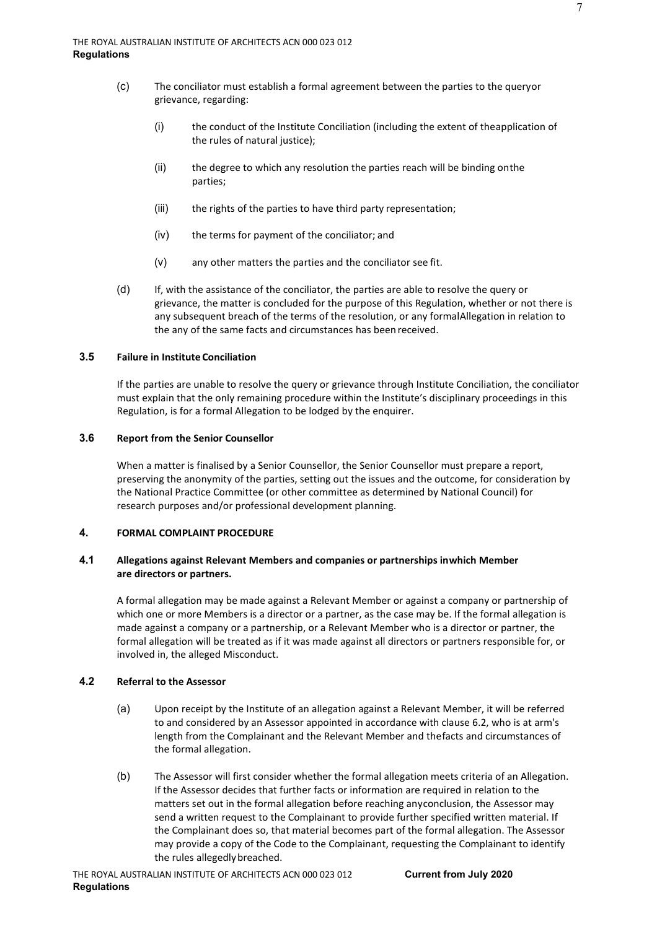- (c) The conciliator must establish a formal agreement between the parties to the queryor grievance, regarding:
	- (i) the conduct of the Institute Conciliation (including the extent of theapplication of the rules of natural justice);
	- (ii) the degree to which any resolution the parties reach will be binding onthe parties;
	- (iii) the rights of the parties to have third party representation;
	- (iv) the terms for payment of the conciliator; and
	- (v) any other matters the parties and the conciliator see fit.
- (d) If, with the assistance of the conciliator, the parties are able to resolve the query or grievance, the matter is concluded for the purpose of this Regulation, whether or not there is any subsequent breach of the terms of the resolution, or any formalAllegation in relation to the any of the same facts and circumstances has been received.

# **3.5 Failure in Institute Conciliation**

If the parties are unable to resolve the query or grievance through Institute Conciliation, the conciliator must explain that the only remaining procedure within the Institute's disciplinary proceedings in this Regulation, is for a formal Allegation to be lodged by the enquirer.

# **3.6 Report from the Senior Counsellor**

When a matter is finalised by a Senior Counsellor, the Senior Counsellor must prepare a report, preserving the anonymity of the parties, setting out the issues and the outcome, for consideration by the National Practice Committee (or other committee as determined by National Council) for research purposes and/or professional development planning.

# <span id="page-6-0"></span>**4. FORMAL COMPLAINT PROCEDURE**

# **4.1 Allegations against Relevant Members and companies or partnerships inwhich Member are directors or partners.**

A formal allegation may be made against a Relevant Member or against a company or partnership of which one or more Members is a director or a partner, as the case may be. If the formal allegation is made against a company or a partnership, or a Relevant Member who is a director or partner, the formal allegation will be treated as if it was made against all directors or partners responsible for, or involved in, the alleged Misconduct.

# **4.2 Referral to the Assessor**

- (a) Upon receipt by the Institute of an allegation against a Relevant Member, it will be referred to and considered by an Assessor appointed in accordance with clause [6.2,](#page-10-0) who is at arm's length from the Complainant and the Relevant Member and thefacts and circumstances of the formal allegation.
- (b) The Assessor will first consider whether the formal allegation meets criteria of an Allegation. If the Assessor decides that further facts or information are required in relation to the matters set out in the formal allegation before reaching anyconclusion, the Assessor may send a written request to the Complainant to provide further specified written material. If the Complainant does so, that material becomes part of the formal allegation. The Assessor may provide a copy of the Code to the Complainant, requesting the Complainant to identify the rules allegedlybreached.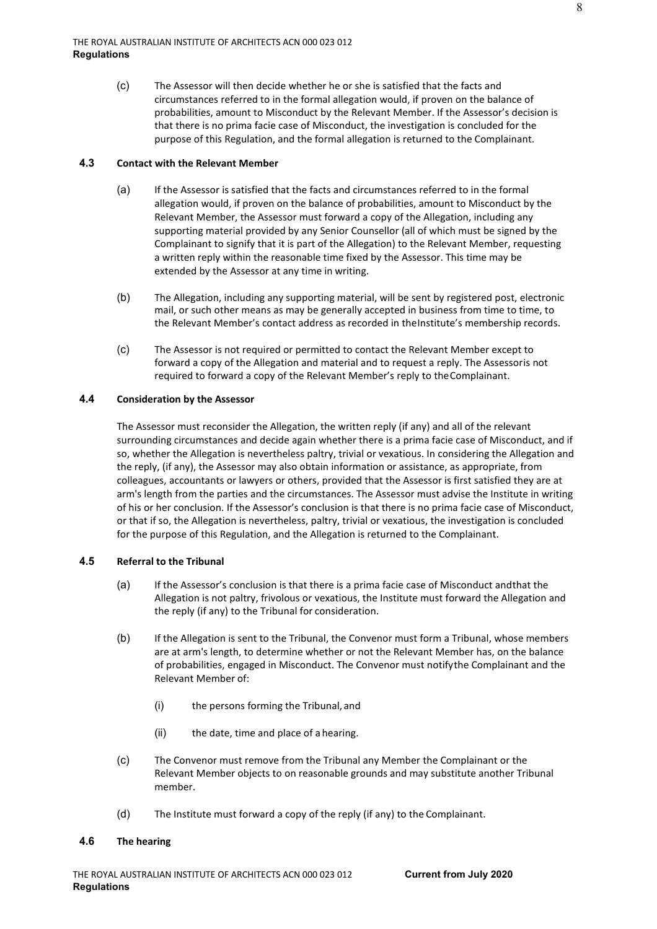(c) The Assessor will then decide whether he or she is satisfied that the facts and circumstances referred to in the formal allegation would, if proven on the balance of probabilities, amount to Misconduct by the Relevant Member. If the Assessor's decision is that there is no prima facie case of Misconduct, the investigation is concluded for the purpose of this Regulation, and the formal allegation is returned to the Complainant.

## **4.3 Contact with the Relevant Member**

- (a) If the Assessor is satisfied that the facts and circumstances referred to in the formal allegation would, if proven on the balance of probabilities, amount to Misconduct by the Relevant Member, the Assessor must forward a copy of the Allegation, including any supporting material provided by any Senior Counsellor (all of which must be signed by the Complainant to signify that it is part of the Allegation) to the Relevant Member, requesting a written reply within the reasonable time fixed by the Assessor. This time may be extended by the Assessor at any time in writing.
- (b) The Allegation, including any supporting material, will be sent by registered post, electronic mail, or such other means as may be generally accepted in business from time to time, to the Relevant Member's contact address as recorded in theInstitute's membership records.
- (c) The Assessor is not required or permitted to contact the Relevant Member except to forward a copy of the Allegation and material and to request a reply. The Assessoris not required to forward a copy of the Relevant Member's reply to theComplainant.

# **4.4 Consideration by the Assessor**

The Assessor must reconsider the Allegation, the written reply (if any) and all of the relevant surrounding circumstances and decide again whether there is a prima facie case of Misconduct, and if so, whether the Allegation is nevertheless paltry, trivial or vexatious. In considering the Allegation and the reply, (if any), the Assessor may also obtain information or assistance, as appropriate, from colleagues, accountants or lawyers or others, provided that the Assessor is first satisfied they are at arm's length from the parties and the circumstances. The Assessor must advise the Institute in writing of his or her conclusion. If the Assessor's conclusion is that there is no prima facie case of Misconduct, or that if so, the Allegation is nevertheless, paltry, trivial or vexatious, the investigation is concluded for the purpose of this Regulation, and the Allegation is returned to the Complainant.

# **4.5 Referral to the Tribunal**

- (a) If the Assessor's conclusion is that there is a prima facie case of Misconduct andthat the Allegation is not paltry, frivolous or vexatious, the Institute must forward the Allegation and the reply (if any) to the Tribunal for consideration.
- (b) If the Allegation is sent to the Tribunal, the Convenor must form a Tribunal, whose members are at arm's length, to determine whether or not the Relevant Member has, on the balance of probabilities, engaged in Misconduct. The Convenor must notifythe Complainant and the Relevant Member of:
	- (i) the persons forming the Tribunal, and
	- (ii) the date, time and place of a hearing.
- (c) The Convenor must remove from the Tribunal any Member the Complainant or the Relevant Member objects to on reasonable grounds and may substitute another Tribunal member.
- (d) The Institute must forward a copy of the reply (if any) to the Complainant.

# **4.6 The hearing**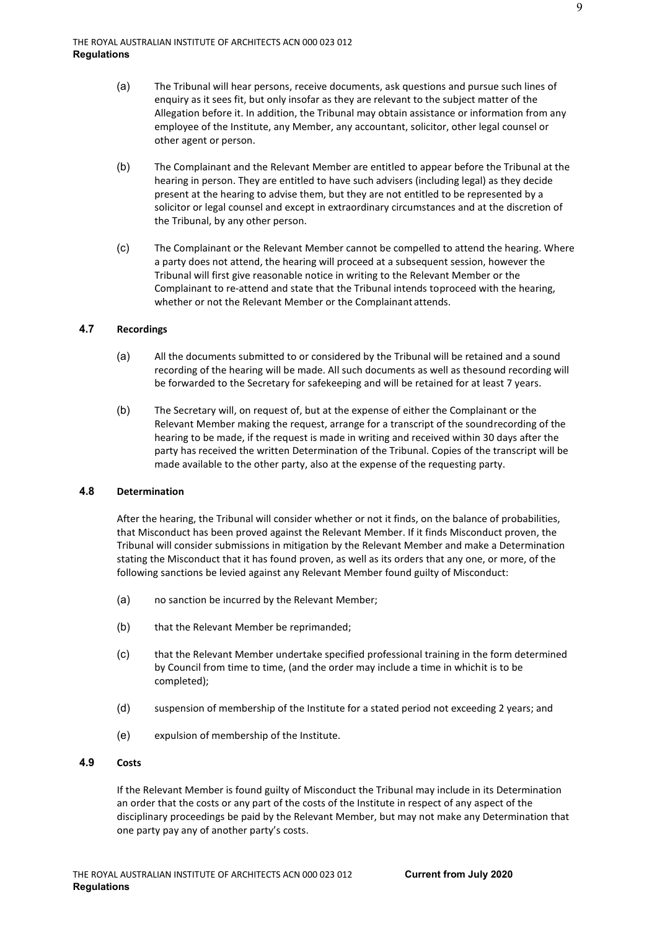- (a) The Tribunal will hear persons, receive documents, ask questions and pursue such lines of enquiry as it sees fit, but only insofar as they are relevant to the subject matter of the Allegation before it. In addition, the Tribunal may obtain assistance or information from any employee of the Institute, any Member, any accountant, solicitor, other legal counsel or other agent or person.
- (b) The Complainant and the Relevant Member are entitled to appear before the Tribunal at the hearing in person. They are entitled to have such advisers (including legal) as they decide present at the hearing to advise them, but they are not entitled to be represented by a solicitor or legal counsel and except in extraordinary circumstances and at the discretion of the Tribunal, by any other person.
- (c) The Complainant or the Relevant Member cannot be compelled to attend the hearing. Where a party does not attend, the hearing will proceed at a subsequent session, however the Tribunal will first give reasonable notice in writing to the Relevant Member or the Complainant to re-attend and state that the Tribunal intends toproceed with the hearing, whether or not the Relevant Member or the Complainant attends.

## **4.7 Recordings**

- (a) All the documents submitted to or considered by the Tribunal will be retained and a sound recording of the hearing will be made. All such documents as well as thesound recording will be forwarded to the Secretary for safekeeping and will be retained for at least 7 years.
- (b) The Secretary will, on request of, but at the expense of either the Complainant or the Relevant Member making the request, arrange for a transcript of the soundrecording of the hearing to be made, if the request is made in writing and received within 30 days after the party has received the written Determination of the Tribunal. Copies of the transcript will be made available to the other party, also at the expense of the requesting party.

#### <span id="page-8-0"></span>**4.8 Determination**

After the hearing, the Tribunal will consider whether or not it finds, on the balance of probabilities, that Misconduct has been proved against the Relevant Member. If it finds Misconduct proven, the Tribunal will consider submissions in mitigation by the Relevant Member and make a Determination stating the Misconduct that it has found proven, as well as its orders that any one, or more, of the following sanctions be levied against any Relevant Member found guilty of Misconduct:

- (a) no sanction be incurred by the Relevant Member;
- (b) that the Relevant Member be reprimanded;
- (c) that the Relevant Member undertake specified professional training in the form determined by Council from time to time, (and the order may include a time in whichit is to be completed);
- (d) suspension of membership of the Institute for a stated period not exceeding 2 years; and
- (e) expulsion of membership of the Institute.

## <span id="page-8-1"></span>**4.9 Costs**

If the Relevant Member is found guilty of Misconduct the Tribunal may include in its Determination an order that the costs or any part of the costs of the Institute in respect of any aspect of the disciplinary proceedings be paid by the Relevant Member, but may not make any Determination that one party pay any of another party's costs.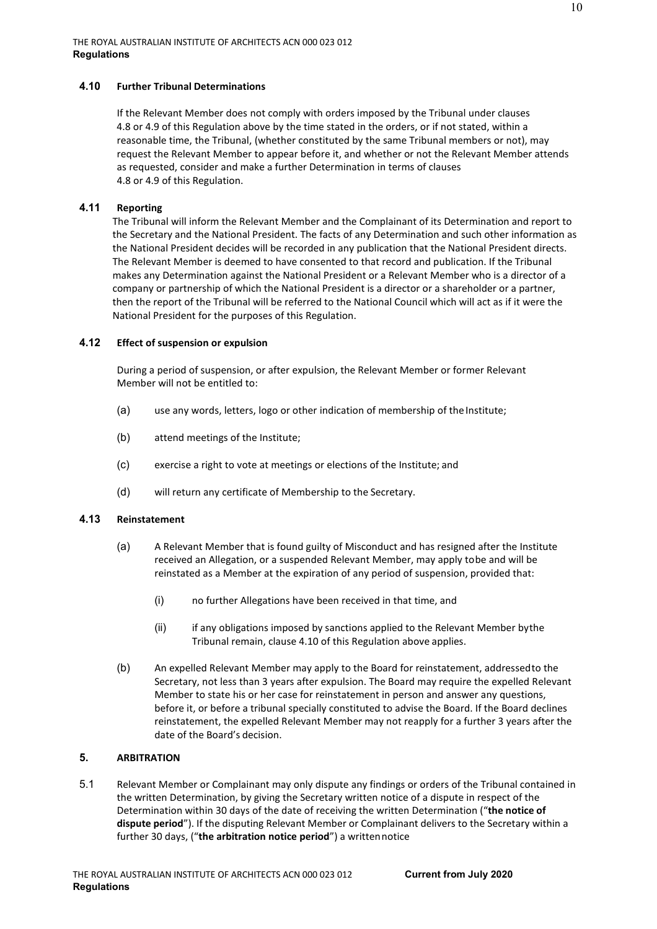## <span id="page-9-0"></span>**4.10 Further Tribunal Determinations**

If the Relevant Member does not comply with orders imposed by the Tribunal under clauses [4.8 o](#page-8-0)r [4.9 o](#page-8-1)f this Regulation above by the time stated in the orders, or if not stated, within a reasonable time, the Tribunal, (whether constituted by the same Tribunal members or not), may request the Relevant Member to appear before it, and whether or not the Relevant Member attends as requested, consider and make a further Determination in terms of clauses [4.8 o](#page-8-0)r [4.9 o](#page-8-1)f this Regulation.

## **4.11 Reporting**

The Tribunal will inform the Relevant Member and the Complainant of its Determination and report to the Secretary and the National President. The facts of any Determination and such other information as the National President decides will be recorded in any publication that the National President directs. The Relevant Member is deemed to have consented to that record and publication. If the Tribunal makes any Determination against the National President or a Relevant Member who is a director of a company or partnership of which the National President is a director or a shareholder or a partner, then the report of the Tribunal will be referred to the National Council which will act as if it were the National President for the purposes of this Regulation.

## **4.12 Effect of suspension or expulsion**

During a period of suspension, or after expulsion, the Relevant Member or former Relevant Member will not be entitled to:

- (a) use any words, letters, logo or other indication of membership of the Institute;
- (b) attend meetings of the Institute;
- (c) exercise a right to vote at meetings or elections of the Institute; and
- (d) will return any certificate of Membership to the Secretary.

# **4.13 Reinstatement**

- (a) A Relevant Member that is found guilty of Misconduct and has resigned after the Institute received an Allegation, or a suspended Relevant Member, may apply tobe and will be reinstated as a Member at the expiration of any period of suspension, provided that:
	- (i) no further Allegations have been received in that time, and
	- (ii) if any obligations imposed by sanctions applied to the Relevant Member bythe Tribunal remain, clause [4.10 o](#page-9-0)f this Regulation above applies.
- (b) An expelled Relevant Member may apply to the Board for reinstatement, addressedto the Secretary, not less than 3 years after expulsion. The Board may require the expelled Relevant Member to state his or her case for reinstatement in person and answer any questions, before it, or before a tribunal specially constituted to advise the Board. If the Board declines reinstatement, the expelled Relevant Member may not reapply for a further 3 years after the date of the Board's decision.

# **5. ARBITRATION**

5.1 Relevant Member or Complainant may only dispute any findings or orders of the Tribunal contained in the written Determination, by giving the Secretary written notice of a dispute in respect of the Determination within 30 days of the date of receiving the written Determination ("**the notice of dispute period**"). If the disputing Relevant Member or Complainant delivers to the Secretary within a further 30 days, ("**the arbitration notice period**") a writtennotice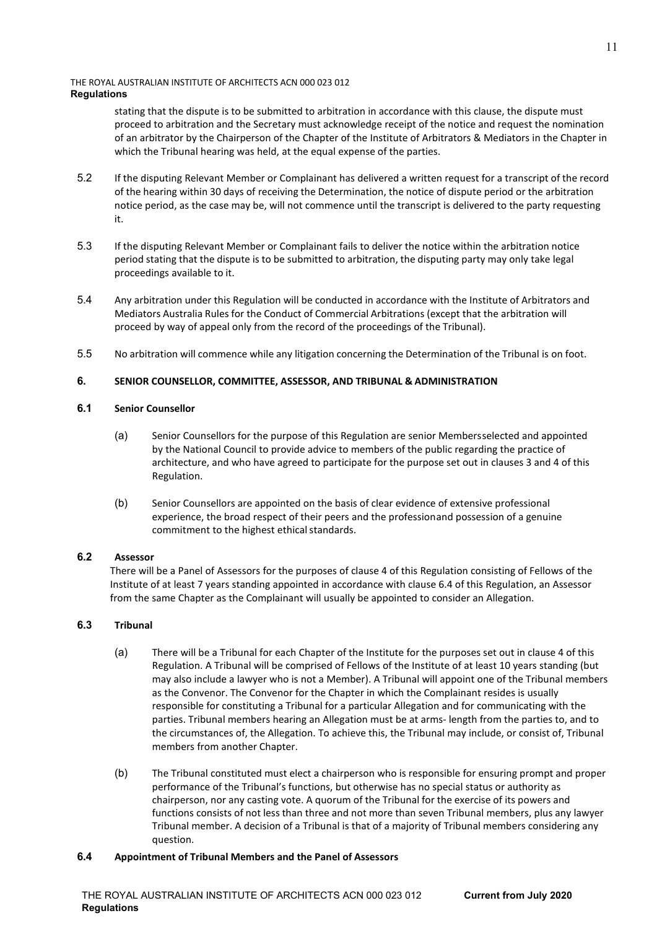stating that the dispute is to be submitted to arbitration in accordance with this clause, the dispute must proceed to arbitration and the Secretary must acknowledge receipt of the notice and request the nomination of an arbitrator by the Chairperson of the Chapter of the Institute of Arbitrators & Mediators in the Chapter in which the Tribunal hearing was held, at the equal expense of the parties.

- 5.2 If the disputing Relevant Member or Complainant has delivered a written request for a transcript of the record of the hearing within 30 days of receiving the Determination, the notice of dispute period or the arbitration notice period, as the case may be, will not commence until the transcript is delivered to the party requesting it.
- 5.3 If the disputing Relevant Member or Complainant fails to deliver the notice within the arbitration notice period stating that the dispute is to be submitted to arbitration, the disputing party may only take legal proceedings available to it.
- 5.4 Any arbitration under this Regulation will be conducted in accordance with the Institute of Arbitrators and Mediators Australia Rules for the Conduct of Commercial Arbitrations (except that the arbitration will proceed by way of appeal only from the record of the proceedings of the Tribunal).
- 5.5 No arbitration will commence while any litigation concerning the Determination of the Tribunal is on foot.

# **6. SENIOR COUNSELLOR, COMMITTEE, ASSESSOR, AND TRIBUNAL & ADMINISTRATION**

# <span id="page-10-2"></span>**6.1 Senior Counsellor**

- (a) Senior Counsellors for the purpose of this Regulation are senior Membersselected and appointed by the National Council to provide advice to members of the public regarding the practice of architecture, and who have agreed to participate for the purpose set out in clauses [3 a](#page-4-0)nd [4 o](#page-6-0)f this Regulation.
- (b) Senior Counsellors are appointed on the basis of clear evidence of extensive professional experience, the broad respect of their peers and the professionand possession of a genuine commitment to the highest ethical standards.

# <span id="page-10-0"></span>**6.2 Assessor**

There will be a Panel of Assessors for the purposes of clause [4 o](#page-6-0)f this Regulation consisting of Fellows of the Institute of at least 7 years standing appointed in accordance with clause [6.4](#page-10-4) of this Regulation, an Assessor from the same Chapter as the Complainant will usually be appointed to consider an Allegation.

# <span id="page-10-3"></span><span id="page-10-1"></span>**6.3 Tribunal**

- (a) There will be a Tribunal for each Chapter of the Institute for the purposes set out in claus[e 4 o](#page-6-0)f this Regulation. A Tribunal will be comprised of Fellows of the Institute of at least 10 years standing (but may also include a lawyer who is not a Member). A Tribunal will appoint one of the Tribunal members as the Convenor. The Convenor for the Chapter in which the Complainant resides is usually responsible for constituting a Tribunal for a particular Allegation and for communicating with the parties. Tribunal members hearing an Allegation must be at arms- length from the parties to, and to the circumstances of, the Allegation. To achieve this, the Tribunal may include, or consist of, Tribunal members from another Chapter.
- (b) The Tribunal constituted must elect a chairperson who is responsible for ensuring prompt and proper performance of the Tribunal's functions, but otherwise has no special status or authority as chairperson, nor any casting vote. A quorum of the Tribunal for the exercise of its powers and functions consists of not less than three and not more than seven Tribunal members, plus any lawyer Tribunal member. A decision of a Tribunal is that of a majority of Tribunal members considering any question.

**Current from July 2020** 

# <span id="page-10-4"></span>**6.4 Appointment of Tribunal Members and the Panel of Assessors**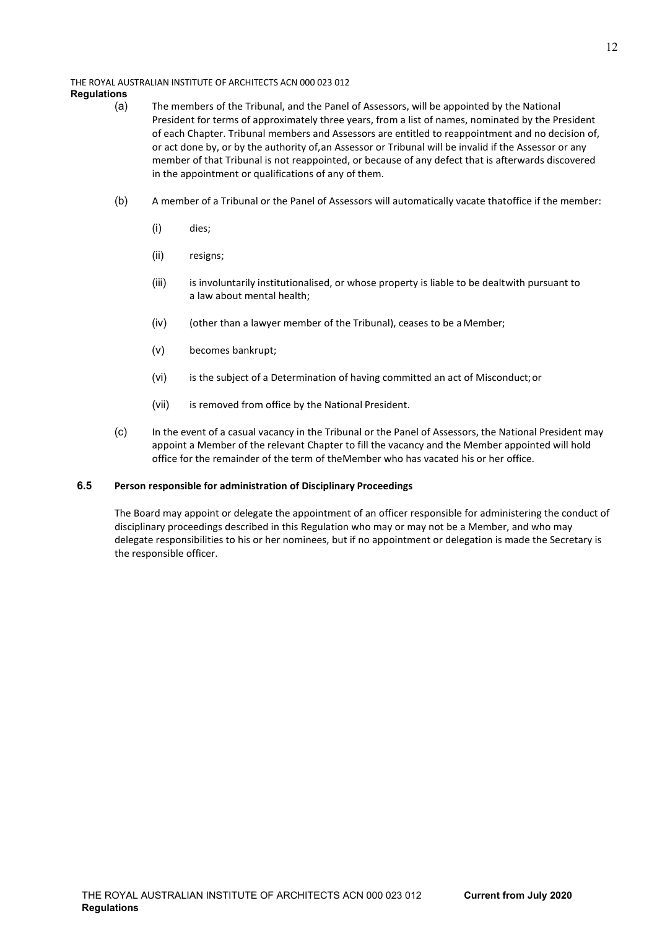#### THE ROYAL AUSTRALIAN INSTITUTE OF ARCHITECTS ACN 000 023 012

# **Regulations**

- (a) The members of the Tribunal, and the Panel of Assessors, will be appointed by the National President for terms of approximately three years, from a list of names, nominated by the President of each Chapter. Tribunal members and Assessors are entitled to reappointment and no decision of, or act done by, or by the authority of,an Assessor or Tribunal will be invalid if the Assessor or any member of that Tribunal is not reappointed, or because of any defect that is afterwards discovered in the appointment or qualifications of any of them.
- (b) A member of a Tribunal or the Panel of Assessors will automatically vacate thatoffice if the member:
	- (i) dies;
	- (ii) resigns;
	- (iii) is involuntarily institutionalised, or whose property is liable to be dealtwith pursuant to a law about mental health;
	- (iv) (other than a lawyer member of the Tribunal), ceases to be a Member;
	- (v) becomes bankrupt;
	- (vi) is the subject of a Determination of having committed an act of Misconduct;or
	- (vii) is removed from office by the National President.
- (c) In the event of a casual vacancy in the Tribunal or the Panel of Assessors, the National President may appoint a Member of the relevant Chapter to fill the vacancy and the Member appointed will hold office for the remainder of the term of theMember who has vacated his or her office.

# **6.5 Person responsible for administration of Disciplinary Proceedings**

The Board may appoint or delegate the appointment of an officer responsible for administering the conduct of disciplinary proceedings described in this Regulation who may or may not be a Member, and who may delegate responsibilities to his or her nominees, but if no appointment or delegation is made the Secretary is the responsible officer.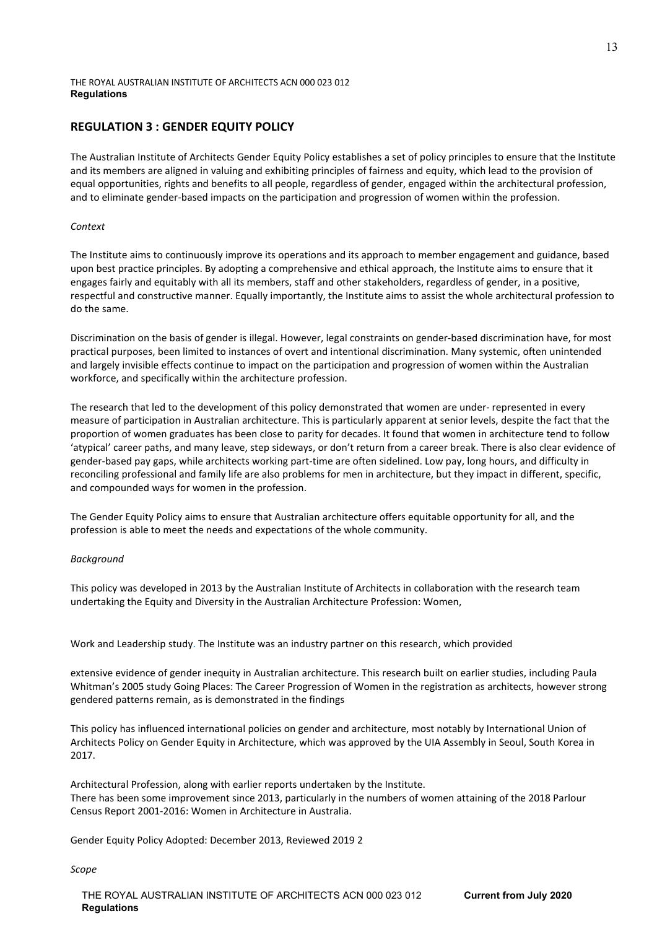# **REGULATION 3 : GENDER EQUITY POLICY**

The Australian Institute of Architects Gender Equity Policy establishes a set of policy principles to ensure that the Institute and its members are aligned in valuing and exhibiting principles of fairness and equity, which lead to the provision of equal opportunities, rights and benefits to all people, regardless of gender, engaged within the architectural profession, and to eliminate gender-based impacts on the participation and progression of women within the profession.

## *Context*

The Institute aims to continuously improve its operations and its approach to member engagement and guidance, based upon best practice principles. By adopting a comprehensive and ethical approach, the Institute aims to ensure that it engages fairly and equitably with all its members, staff and other stakeholders, regardless of gender, in a positive, respectful and constructive manner. Equally importantly, the Institute aims to assist the whole architectural profession to do the same.

Discrimination on the basis of gender is illegal. However, legal constraints on gender-based discrimination have, for most practical purposes, been limited to instances of overt and intentional discrimination. Many systemic, often unintended and largely invisible effects continue to impact on the participation and progression of women within the Australian workforce, and specifically within the architecture profession.

The research that led to the development of this policy demonstrated that women are under- represented in every measure of participation in Australian architecture. This is particularly apparent at senior levels, despite the fact that the proportion of women graduates has been close to parity for decades. It found that women in architecture tend to follow 'atypical' career paths, and many leave, step sideways, or don't return from a career break. There is also clear evidence of gender-based pay gaps, while architects working part-time are often sidelined. Low pay, long hours, and difficulty in reconciling professional and family life are also problems for men in architecture, but they impact in different, specific, and compounded ways for women in the profession.

The Gender Equity Policy aims to ensure that Australian architecture offers equitable opportunity for all, and the profession is able to meet the needs and expectations of the whole community.

# *Background*

This policy was developed in 2013 by the Australian Institute of Architects in collaboration with the research team undertaking the Equity and Diversity in the Australian Architecture Profession: Women,

Work and Leadership study. The Institute was an industry partner on this research, which provided

extensive evidence of gender inequity in Australian architecture. This research built on earlier studies, including Paula Whitman's 2005 study Going Places: The Career Progression of Women in the registration as architects, however strong gendered patterns remain, as is demonstrated in the findings

This policy has influenced international policies on gender and architecture, most notably by International Union of Architects Policy on Gender Equity in Architecture, which was approved by the UIA Assembly in Seoul, South Korea in 2017.

Architectural Profession, along with earlier reports undertaken by the Institute. There has been some improvement since 2013, particularly in the numbers of women attaining of the 2018 Parlour Census Report 2001-2016: Women in Architecture in Australia.

Gender Equity Policy Adopted: December 2013, Reviewed 2019 2

*Scope*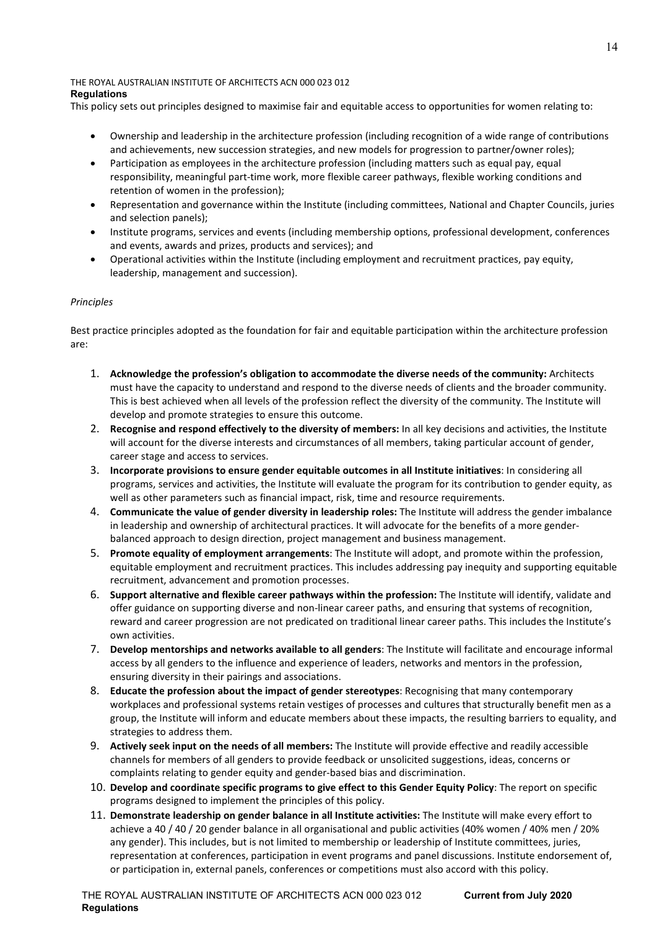This policy sets out principles designed to maximise fair and equitable access to opportunities for women relating to:

- Ownership and leadership in the architecture profession (including recognition of a wide range of contributions and achievements, new succession strategies, and new models for progression to partner/owner roles);
- Participation as employees in the architecture profession (including matters such as equal pay, equal responsibility, meaningful part-time work, more flexible career pathways, flexible working conditions and retention of women in the profession);
- Representation and governance within the Institute (including committees, National and Chapter Councils, juries and selection panels);
- Institute programs, services and events (including membership options, professional development, conferences and events, awards and prizes, products and services); and
- Operational activities within the Institute (including employment and recruitment practices, pay equity, leadership, management and succession).

# *Principles*

Best practice principles adopted as the foundation for fair and equitable participation within the architecture profession are:

- 1. **Acknowledge the profession's obligation to accommodate the diverse needs of the community:** Architects must have the capacity to understand and respond to the diverse needs of clients and the broader community. This is best achieved when all levels of the profession reflect the diversity of the community. The Institute will develop and promote strategies to ensure this outcome.
- 2. **Recognise and respond effectively to the diversity of members:** In all key decisions and activities, the Institute will account for the diverse interests and circumstances of all members, taking particular account of gender, career stage and access to services.
- 3. **Incorporate provisions to ensure gender equitable outcomes in all Institute initiatives**: In considering all programs, services and activities, the Institute will evaluate the program for its contribution to gender equity, as well as other parameters such as financial impact, risk, time and resource requirements.
- 4. **Communicate the value of gender diversity in leadership roles:** The Institute will address the gender imbalance in leadership and ownership of architectural practices. It will advocate for the benefits of a more genderbalanced approach to design direction, project management and business management.
- 5. **Promote equality of employment arrangements**: The Institute will adopt, and promote within the profession, equitable employment and recruitment practices. This includes addressing pay inequity and supporting equitable recruitment, advancement and promotion processes.
- 6. **Support alternative and flexible career pathways within the profession:** The Institute will identify, validate and offer guidance on supporting diverse and non-linear career paths, and ensuring that systems of recognition, reward and career progression are not predicated on traditional linear career paths. This includes the Institute's own activities.
- 7. **Develop mentorships and networks available to all genders**: The Institute will facilitate and encourage informal access by all genders to the influence and experience of leaders, networks and mentors in the profession, ensuring diversity in their pairings and associations.
- 8. **Educate the profession about the impact of gender stereotypes**: Recognising that many contemporary workplaces and professional systems retain vestiges of processes and cultures that structurally benefit men as a group, the Institute will inform and educate members about these impacts, the resulting barriers to equality, and strategies to address them.
- 9. **Actively seek input on the needs of all members:** The Institute will provide effective and readily accessible channels for members of all genders to provide feedback or unsolicited suggestions, ideas, concerns or complaints relating to gender equity and gender-based bias and discrimination.
- 10. **Develop and coordinate specific programs to give effect to this Gender Equity Policy**: The report on specific programs designed to implement the principles of this policy.
- 11. **Demonstrate leadership on gender balance in all Institute activities:** The Institute will make every effort to achieve a 40 / 40 / 20 gender balance in all organisational and public activities (40% women / 40% men / 20% any gender). This includes, but is not limited to membership or leadership of Institute committees, juries, representation at conferences, participation in event programs and panel discussions. Institute endorsement of, or participation in, external panels, conferences or competitions must also accord with this policy.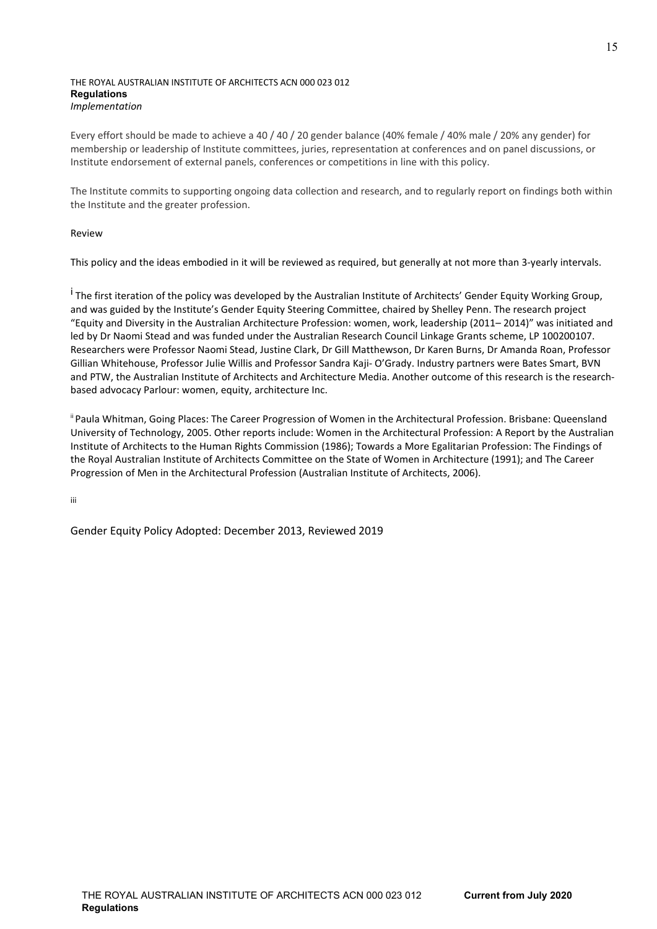Every effort should be made to achieve a 40 / 40 / 20 gender balance (40% female / 40% male / 20% any gender) for membership or leadership of Institute committees, juries, representation at conferences and on panel discussions, or Institute endorsement of external panels, conferences or competitions in line with this policy.

The Institute commits to supporting ongoing data collection and research, and to regularly report on findings both within the Institute and the greater profession.

# Review

This policy and the ideas embodied in it will be reviewed as required, but generally at not more than 3-yearly intervals.

<sup>i</sup> The first iteration of the policy was developed by the Australian Institute of Architects' Gender Equity Working Group, and was guided by the Institute's Gender Equity Steering Committee, chaired by Shelley Penn. The research project "Equity and Diversity in the Australian Architecture Profession: women, work, leadership (2011– 2014)" was initiated and led by Dr Naomi Stead and was funded under the Australian Research Council Linkage Grants scheme, LP 100200107. Researchers were Professor Naomi Stead, Justine Clark, Dr Gill Matthewson, Dr Karen Burns, Dr Amanda Roan, Professor Gillian Whitehouse, Professor Julie Willis and Professor Sandra Kaji- O'Grady. Industry partners were Bates Smart, BVN and PTW, the Australian Institute of Architects and Architecture Media. Another outcome of this research is the researchbased advocacy Parlour: women, equity, architecture Inc.

<sup>ii</sup> Paula Whitman, Going Places: The Career Progression of Women in the Architectural Profession. Brisbane: Queensland University of Technology, 2005. Other reports include: Women in the Architectural Profession: A Report by the Australian Institute of Architects to the Human Rights Commission (1986); Towards a More Egalitarian Profession: The Findings of the Royal Australian Institute of Architects Committee on the State of Women in Architecture (1991); and The Career Progression of Men in the Architectural Profession (Australian Institute of Architects, 2006).

iii

Gender Equity Policy Adopted: December 2013, Reviewed 2019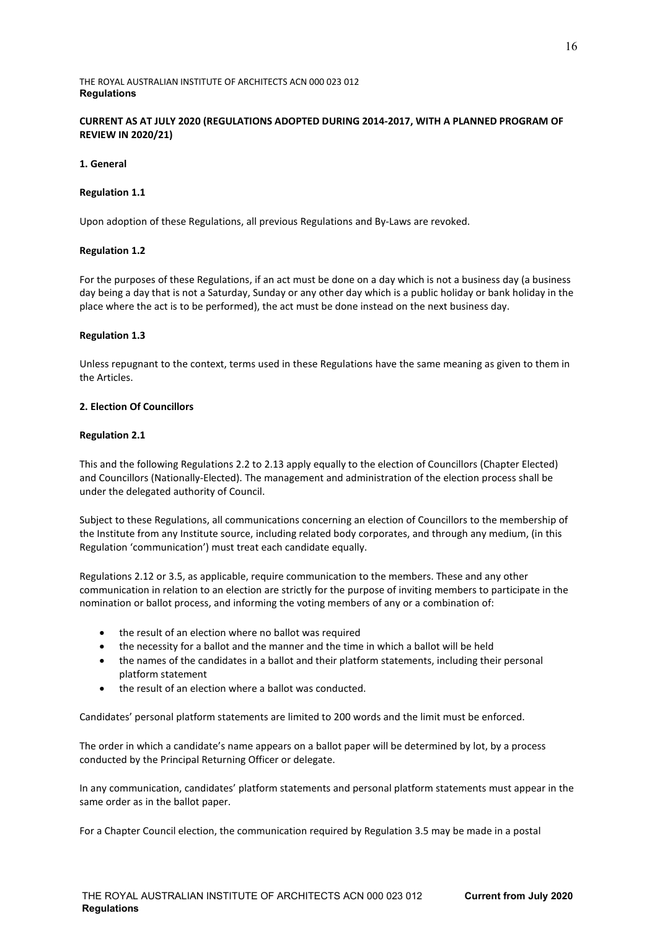# **CURRENT AS AT JULY 2020 (REGULATIONS ADOPTED DURING 2014-2017, WITH A PLANNED PROGRAM OF REVIEW IN 2020/21)**

## **1. General**

#### **Regulation 1.1**

Upon adoption of these Regulations, all previous Regulations and By-Laws are revoked.

## **Regulation 1.2**

For the purposes of these Regulations, if an act must be done on a day which is not a business day (a business day being a day that is not a Saturday, Sunday or any other day which is a public holiday or bank holiday in the place where the act is to be performed), the act must be done instead on the next business day.

## **Regulation 1.3**

Unless repugnant to the context, terms used in these Regulations have the same meaning as given to them in the Articles.

## **2. Election Of Councillors**

## **Regulation 2.1**

This and the following Regulations 2.2 to 2.13 apply equally to the election of Councillors (Chapter Elected) and Councillors (Nationally-Elected). The management and administration of the election process shall be under the delegated authority of Council.

Subject to these Regulations, all communications concerning an election of Councillors to the membership of the Institute from any Institute source, including related body corporates, and through any medium, (in this Regulation 'communication') must treat each candidate equally.

Regulations 2.12 or 3.5, as applicable, require communication to the members. These and any other communication in relation to an election are strictly for the purpose of inviting members to participate in the nomination or ballot process, and informing the voting members of any or a combination of:

- the result of an election where no ballot was required
- the necessity for a ballot and the manner and the time in which a ballot will be held
- the names of the candidates in a ballot and their platform statements, including their personal platform statement
- the result of an election where a ballot was conducted.

Candidates' personal platform statements are limited to 200 words and the limit must be enforced.

The order in which a candidate's name appears on a ballot paper will be determined by lot, by a process conducted by the Principal Returning Officer or delegate.

In any communication, candidates' platform statements and personal platform statements must appear in the same order as in the ballot paper.

For a Chapter Council election, the communication required by Regulation 3.5 may be made in a postal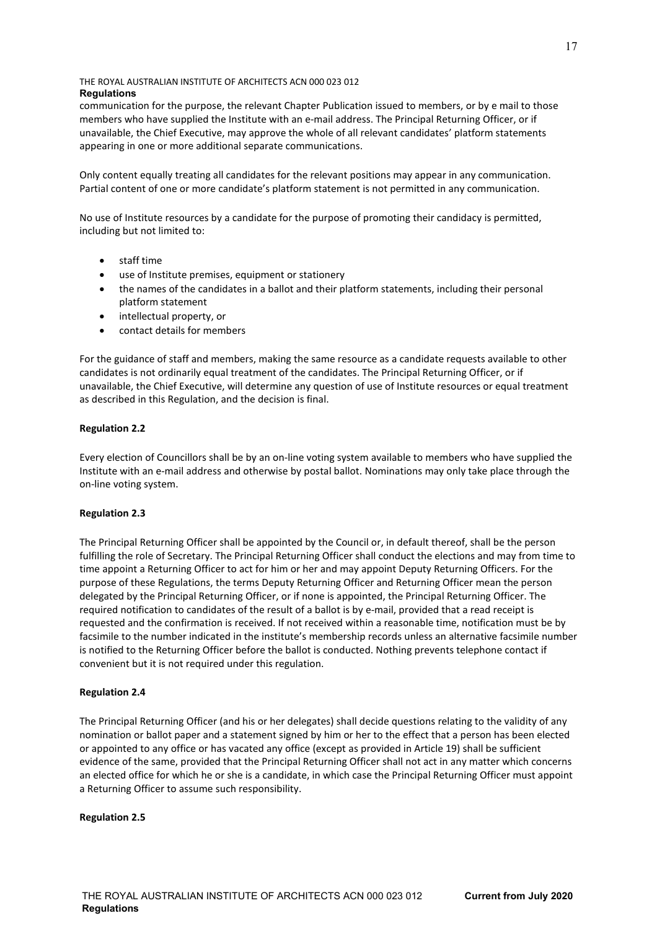communication for the purpose, the relevant Chapter Publication issued to members, or by e mail to those members who have supplied the Institute with an e-mail address. The Principal Returning Officer, or if unavailable, the Chief Executive, may approve the whole of all relevant candidates' platform statements appearing in one or more additional separate communications.

Only content equally treating all candidates for the relevant positions may appear in any communication. Partial content of one or more candidate's platform statement is not permitted in any communication.

No use of Institute resources by a candidate for the purpose of promoting their candidacy is permitted, including but not limited to:

- staff time
- use of Institute premises, equipment or stationery
- the names of the candidates in a ballot and their platform statements, including their personal platform statement
- intellectual property, or
- contact details for members

For the guidance of staff and members, making the same resource as a candidate requests available to other candidates is not ordinarily equal treatment of the candidates. The Principal Returning Officer, or if unavailable, the Chief Executive, will determine any question of use of Institute resources or equal treatment as described in this Regulation, and the decision is final.

# **Regulation 2.2**

Every election of Councillors shall be by an on-line voting system available to members who have supplied the Institute with an e-mail address and otherwise by postal ballot. Nominations may only take place through the on-line voting system.

# **Regulation 2.3**

The Principal Returning Officer shall be appointed by the Council or, in default thereof, shall be the person fulfilling the role of Secretary. The Principal Returning Officer shall conduct the elections and may from time to time appoint a Returning Officer to act for him or her and may appoint Deputy Returning Officers. For the purpose of these Regulations, the terms Deputy Returning Officer and Returning Officer mean the person delegated by the Principal Returning Officer, or if none is appointed, the Principal Returning Officer. The required notification to candidates of the result of a ballot is by e-mail, provided that a read receipt is requested and the confirmation is received. If not received within a reasonable time, notification must be by facsimile to the number indicated in the institute's membership records unless an alternative facsimile number is notified to the Returning Officer before the ballot is conducted. Nothing prevents telephone contact if convenient but it is not required under this regulation.

# **Regulation 2.4**

The Principal Returning Officer (and his or her delegates) shall decide questions relating to the validity of any nomination or ballot paper and a statement signed by him or her to the effect that a person has been elected or appointed to any office or has vacated any office (except as provided in Article 19) shall be sufficient evidence of the same, provided that the Principal Returning Officer shall not act in any matter which concerns an elected office for which he or she is a candidate, in which case the Principal Returning Officer must appoint a Returning Officer to assume such responsibility.

#### **Regulation 2.5**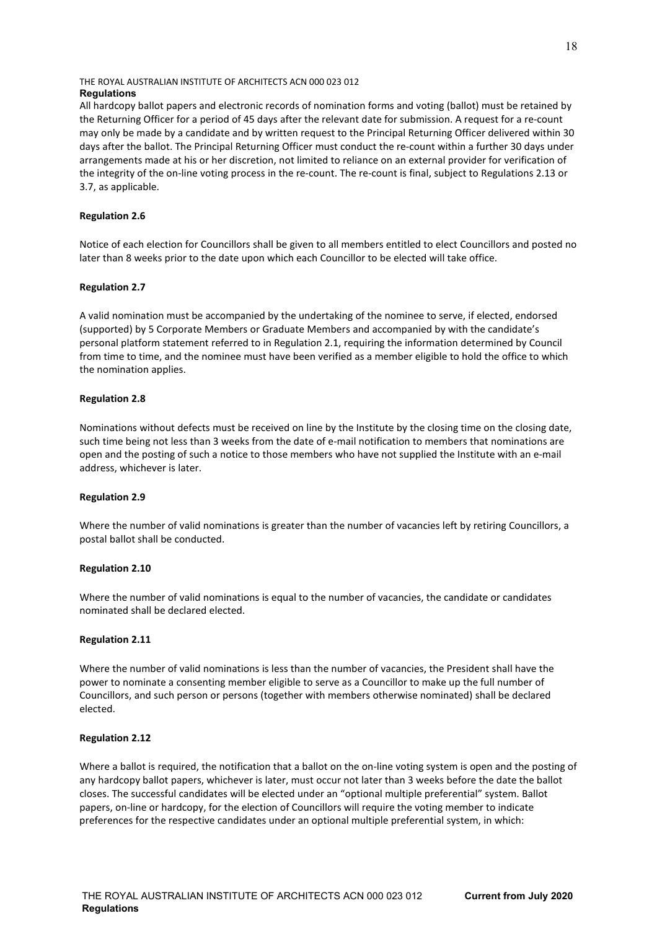All hardcopy ballot papers and electronic records of nomination forms and voting (ballot) must be retained by the Returning Officer for a period of 45 days after the relevant date for submission. A request for a re-count may only be made by a candidate and by written request to the Principal Returning Officer delivered within 30 days after the ballot. The Principal Returning Officer must conduct the re-count within a further 30 days under arrangements made at his or her discretion, not limited to reliance on an external provider for verification of the integrity of the on-line voting process in the re-count. The re-count is final, subject to Regulations 2.13 or 3.7, as applicable.

## **Regulation 2.6**

Notice of each election for Councillors shall be given to all members entitled to elect Councillors and posted no later than 8 weeks prior to the date upon which each Councillor to be elected will take office.

## **Regulation 2.7**

A valid nomination must be accompanied by the undertaking of the nominee to serve, if elected, endorsed (supported) by 5 Corporate Members or Graduate Members and accompanied by with the candidate's personal platform statement referred to in Regulation 2.1, requiring the information determined by Council from time to time, and the nominee must have been verified as a member eligible to hold the office to which the nomination applies.

## **Regulation 2.8**

Nominations without defects must be received on line by the Institute by the closing time on the closing date, such time being not less than 3 weeks from the date of e-mail notification to members that nominations are open and the posting of such a notice to those members who have not supplied the Institute with an e-mail address, whichever is later.

# **Regulation 2.9**

Where the number of valid nominations is greater than the number of vacancies left by retiring Councillors, a postal ballot shall be conducted.

#### **Regulation 2.10**

Where the number of valid nominations is equal to the number of vacancies, the candidate or candidates nominated shall be declared elected.

#### **Regulation 2.11**

Where the number of valid nominations is less than the number of vacancies, the President shall have the power to nominate a consenting member eligible to serve as a Councillor to make up the full number of Councillors, and such person or persons (together with members otherwise nominated) shall be declared elected.

#### **Regulation 2.12**

Where a ballot is required, the notification that a ballot on the on-line voting system is open and the posting of any hardcopy ballot papers, whichever is later, must occur not later than 3 weeks before the date the ballot closes. The successful candidates will be elected under an "optional multiple preferential" system. Ballot papers, on-line or hardcopy, for the election of Councillors will require the voting member to indicate preferences for the respective candidates under an optional multiple preferential system, in which: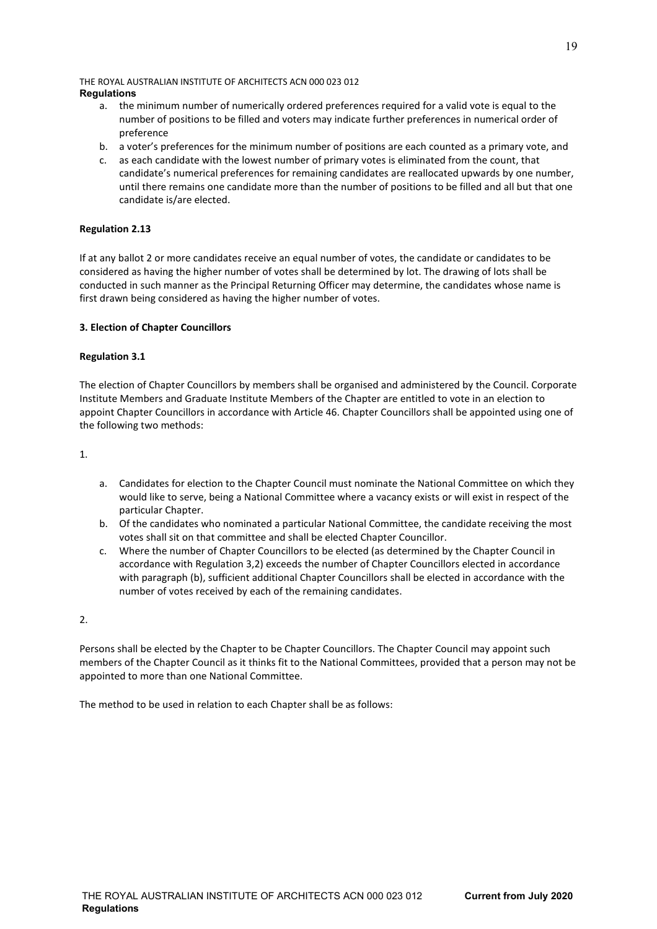- a. the minimum number of numerically ordered preferences required for a valid vote is equal to the number of positions to be filled and voters may indicate further preferences in numerical order of preference
- b. a voter's preferences for the minimum number of positions are each counted as a primary vote, and
- c. as each candidate with the lowest number of primary votes is eliminated from the count, that candidate's numerical preferences for remaining candidates are reallocated upwards by one number, until there remains one candidate more than the number of positions to be filled and all but that one candidate is/are elected.

# **Regulation 2.13**

If at any ballot 2 or more candidates receive an equal number of votes, the candidate or candidates to be considered as having the higher number of votes shall be determined by lot. The drawing of lots shall be conducted in such manner as the Principal Returning Officer may determine, the candidates whose name is first drawn being considered as having the higher number of votes.

# **3. Election of Chapter Councillors**

# **Regulation 3.1**

The election of Chapter Councillors by members shall be organised and administered by the Council. Corporate Institute Members and Graduate Institute Members of the Chapter are entitled to vote in an election to appoint Chapter Councillors in accordance with Article 46. Chapter Councillors shall be appointed using one of the following two methods:

1.

- a. Candidates for election to the Chapter Council must nominate the National Committee on which they would like to serve, being a National Committee where a vacancy exists or will exist in respect of the particular Chapter.
- b. Of the candidates who nominated a particular National Committee, the candidate receiving the most votes shall sit on that committee and shall be elected Chapter Councillor.
- c. Where the number of Chapter Councillors to be elected (as determined by the Chapter Council in accordance with Regulation 3,2) exceeds the number of Chapter Councillors elected in accordance with paragraph (b), sufficient additional Chapter Councillors shall be elected in accordance with the number of votes received by each of the remaining candidates.

2.

Persons shall be elected by the Chapter to be Chapter Councillors. The Chapter Council may appoint such members of the Chapter Council as it thinks fit to the National Committees, provided that a person may not be appointed to more than one National Committee.

The method to be used in relation to each Chapter shall be as follows: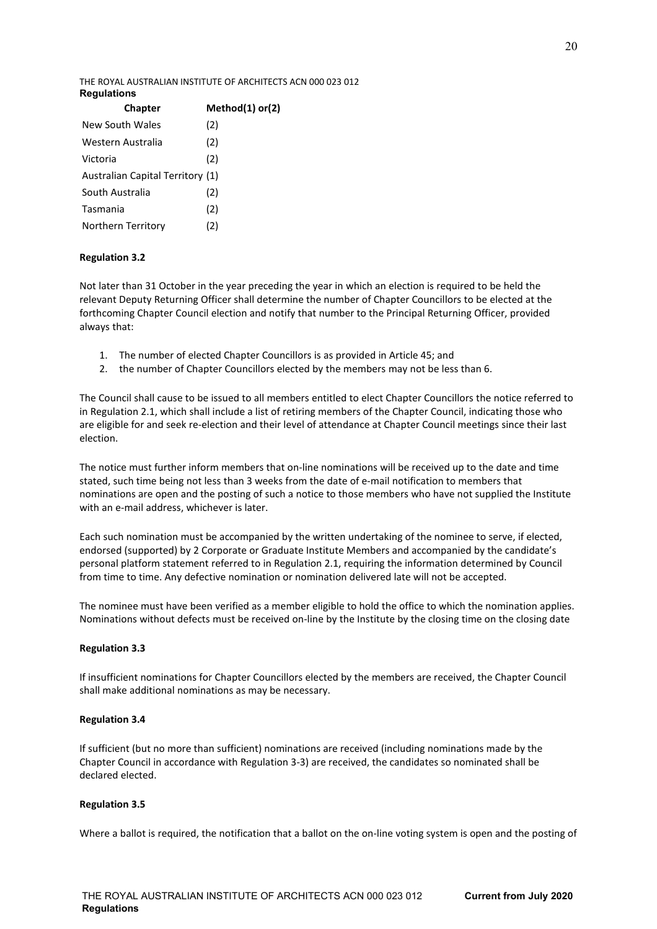| <b>Chapter</b>                   | Method(1) or(2) |
|----------------------------------|-----------------|
| New South Wales                  | (2)             |
| Western Australia                | (2)             |
| Victoria                         | (2)             |
| Australian Capital Territory (1) |                 |
| South Australia                  | (2)             |
| Tasmania                         | (2)             |
| Northern Territory               | (2)             |
|                                  |                 |

# **Regulation 3.2**

Not later than 31 October in the year preceding the year in which an election is required to be held the relevant Deputy Returning Officer shall determine the number of Chapter Councillors to be elected at the forthcoming Chapter Council election and notify that number to the Principal Returning Officer, provided always that:

- 1. The number of elected Chapter Councillors is as provided in Article 45; and
- 2. the number of Chapter Councillors elected by the members may not be less than 6.

The Council shall cause to be issued to all members entitled to elect Chapter Councillors the notice referred to in Regulation 2.1, which shall include a list of retiring members of the Chapter Council, indicating those who are eligible for and seek re-election and their level of attendance at Chapter Council meetings since their last election.

The notice must further inform members that on-line nominations will be received up to the date and time stated, such time being not less than 3 weeks from the date of e-mail notification to members that nominations are open and the posting of such a notice to those members who have not supplied the Institute with an e-mail address, whichever is later.

Each such nomination must be accompanied by the written undertaking of the nominee to serve, if elected, endorsed (supported) by 2 Corporate or Graduate Institute Members and accompanied by the candidate's personal platform statement referred to in Regulation 2.1, requiring the information determined by Council from time to time. Any defective nomination or nomination delivered late will not be accepted.

The nominee must have been verified as a member eligible to hold the office to which the nomination applies. Nominations without defects must be received on-line by the Institute by the closing time on the closing date

# **Regulation 3.3**

If insufficient nominations for Chapter Councillors elected by the members are received, the Chapter Council shall make additional nominations as may be necessary.

# **Regulation 3.4**

If sufficient (but no more than sufficient) nominations are received (including nominations made by the Chapter Council in accordance with Regulation 3-3) are received, the candidates so nominated shall be declared elected.

# **Regulation 3.5**

Where a ballot is required, the notification that a ballot on the on-line voting system is open and the posting of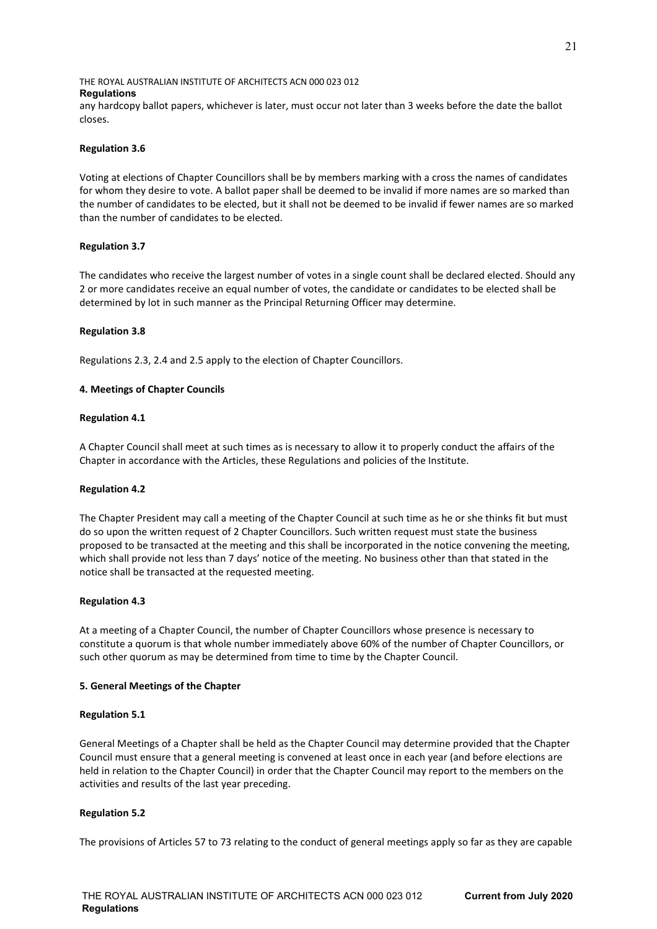any hardcopy ballot papers, whichever is later, must occur not later than 3 weeks before the date the ballot closes.

## **Regulation 3.6**

Voting at elections of Chapter Councillors shall be by members marking with a cross the names of candidates for whom they desire to vote. A ballot paper shall be deemed to be invalid if more names are so marked than the number of candidates to be elected, but it shall not be deemed to be invalid if fewer names are so marked than the number of candidates to be elected.

## **Regulation 3.7**

The candidates who receive the largest number of votes in a single count shall be declared elected. Should any 2 or more candidates receive an equal number of votes, the candidate or candidates to be elected shall be determined by lot in such manner as the Principal Returning Officer may determine.

## **Regulation 3.8**

Regulations 2.3, 2.4 and 2.5 apply to the election of Chapter Councillors.

## **4. Meetings of Chapter Councils**

## **Regulation 4.1**

A Chapter Council shall meet at such times as is necessary to allow it to properly conduct the affairs of the Chapter in accordance with the Articles, these Regulations and policies of the Institute.

#### **Regulation 4.2**

The Chapter President may call a meeting of the Chapter Council at such time as he or she thinks fit but must do so upon the written request of 2 Chapter Councillors. Such written request must state the business proposed to be transacted at the meeting and this shall be incorporated in the notice convening the meeting, which shall provide not less than 7 days' notice of the meeting. No business other than that stated in the notice shall be transacted at the requested meeting.

#### **Regulation 4.3**

At a meeting of a Chapter Council, the number of Chapter Councillors whose presence is necessary to constitute a quorum is that whole number immediately above 60% of the number of Chapter Councillors, or such other quorum as may be determined from time to time by the Chapter Council.

# **5. General Meetings of the Chapter**

#### **Regulation 5.1**

General Meetings of a Chapter shall be held as the Chapter Council may determine provided that the Chapter Council must ensure that a general meeting is convened at least once in each year (and before elections are held in relation to the Chapter Council) in order that the Chapter Council may report to the members on the activities and results of the last year preceding.

# **Regulation 5.2**

The provisions of Articles 57 to 73 relating to the conduct of general meetings apply so far as they are capable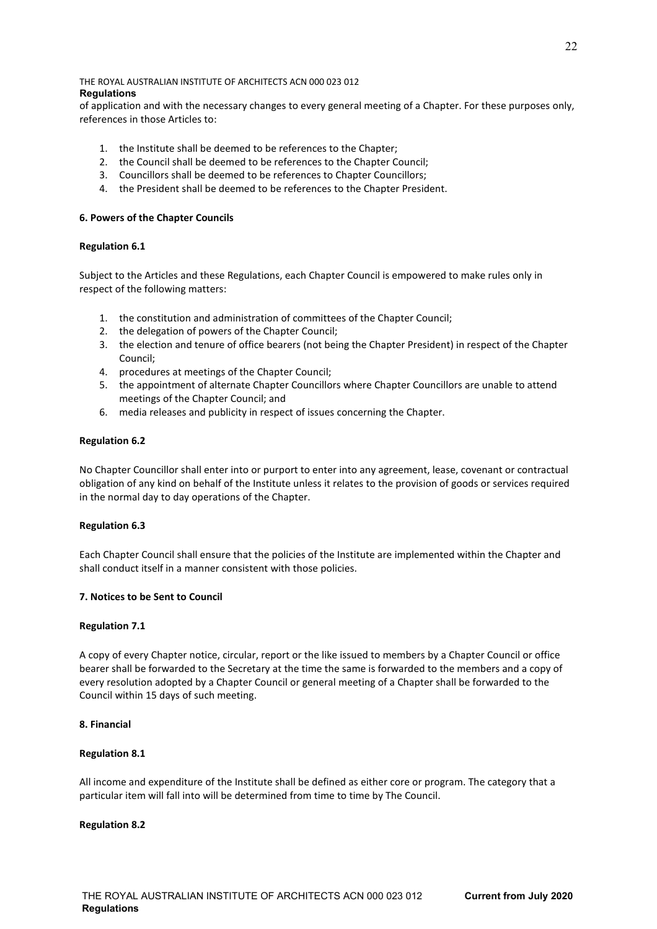of application and with the necessary changes to every general meeting of a Chapter. For these purposes only, references in those Articles to:

- 1. the Institute shall be deemed to be references to the Chapter;
- 2. the Council shall be deemed to be references to the Chapter Council;
- 3. Councillors shall be deemed to be references to Chapter Councillors;
- 4. the President shall be deemed to be references to the Chapter President.

## **6. Powers of the Chapter Councils**

## **Regulation 6.1**

Subject to the Articles and these Regulations, each Chapter Council is empowered to make rules only in respect of the following matters:

- 1. the constitution and administration of committees of the Chapter Council;
- 2. the delegation of powers of the Chapter Council;
- 3. the election and tenure of office bearers (not being the Chapter President) in respect of the Chapter Council;
- 4. procedures at meetings of the Chapter Council;
- 5. the appointment of alternate Chapter Councillors where Chapter Councillors are unable to attend meetings of the Chapter Council; and
- 6. media releases and publicity in respect of issues concerning the Chapter.

## **Regulation 6.2**

No Chapter Councillor shall enter into or purport to enter into any agreement, lease, covenant or contractual obligation of any kind on behalf of the Institute unless it relates to the provision of goods or services required in the normal day to day operations of the Chapter.

#### **Regulation 6.3**

Each Chapter Council shall ensure that the policies of the Institute are implemented within the Chapter and shall conduct itself in a manner consistent with those policies.

# **7. Notices to be Sent to Council**

#### **Regulation 7.1**

A copy of every Chapter notice, circular, report or the like issued to members by a Chapter Council or office bearer shall be forwarded to the Secretary at the time the same is forwarded to the members and a copy of every resolution adopted by a Chapter Council or general meeting of a Chapter shall be forwarded to the Council within 15 days of such meeting.

#### **8. Financial**

#### **Regulation 8.1**

All income and expenditure of the Institute shall be defined as either core or program. The category that a particular item will fall into will be determined from time to time by The Council.

#### **Regulation 8.2**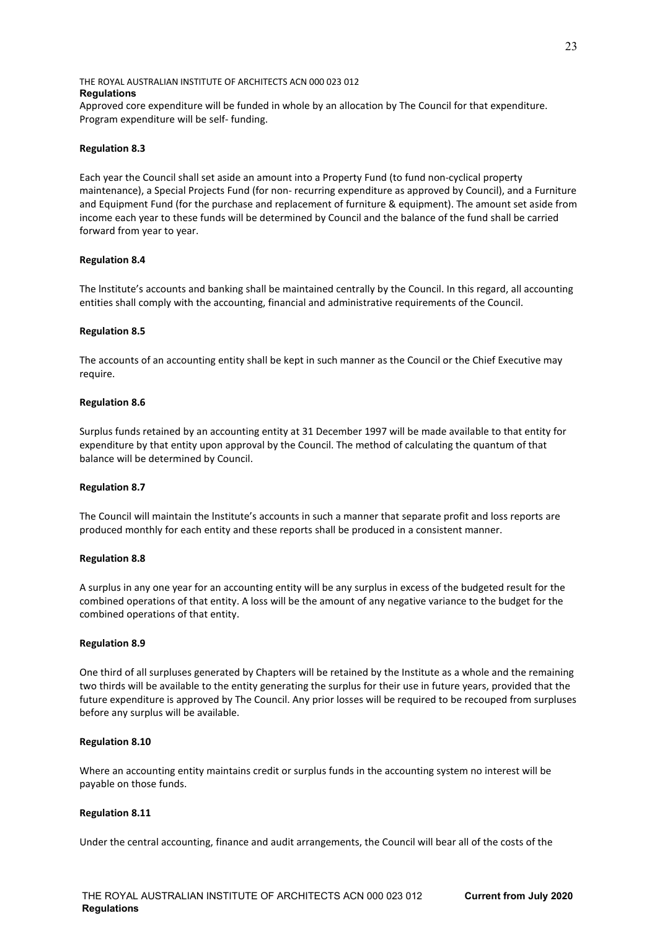Approved core expenditure will be funded in whole by an allocation by The Council for that expenditure. Program expenditure will be self- funding.

## **Regulation 8.3**

Each year the Council shall set aside an amount into a Property Fund (to fund non-cyclical property maintenance), a Special Projects Fund (for non- recurring expenditure as approved by Council), and a Furniture and Equipment Fund (for the purchase and replacement of furniture & equipment). The amount set aside from income each year to these funds will be determined by Council and the balance of the fund shall be carried forward from year to year.

## **Regulation 8.4**

The lnstitute's accounts and banking shall be maintained centrally by the Council. In this regard, all accounting entities shall comply with the accounting, financial and administrative requirements of the Council.

#### **Regulation 8.5**

The accounts of an accounting entity shall be kept in such manner as the Council or the Chief Executive may require.

## **Regulation 8.6**

Surplus funds retained by an accounting entity at 31 December 1997 will be made available to that entity for expenditure by that entity upon approval by the Council. The method of calculating the quantum of that balance will be determined by Council.

#### **Regulation 8.7**

The Council will maintain the lnstitute's accounts in such a manner that separate profit and loss reports are produced monthly for each entity and these reports shall be produced in a consistent manner.

#### **Regulation 8.8**

A surplus in any one year for an accounting entity will be any surplus in excess of the budgeted result for the combined operations of that entity. A loss will be the amount of any negative variance to the budget for the combined operations of that entity.

#### **Regulation 8.9**

One third of all surpluses generated by Chapters will be retained by the Institute as a whole and the remaining two thirds will be available to the entity generating the surplus for their use in future years, provided that the future expenditure is approved by The Council. Any prior losses will be required to be recouped from surpluses before any surplus will be available.

#### **Regulation 8.10**

Where an accounting entity maintains credit or surplus funds in the accounting system no interest will be payable on those funds.

# **Regulation 8.11**

Under the central accounting, finance and audit arrangements, the Council will bear all of the costs of the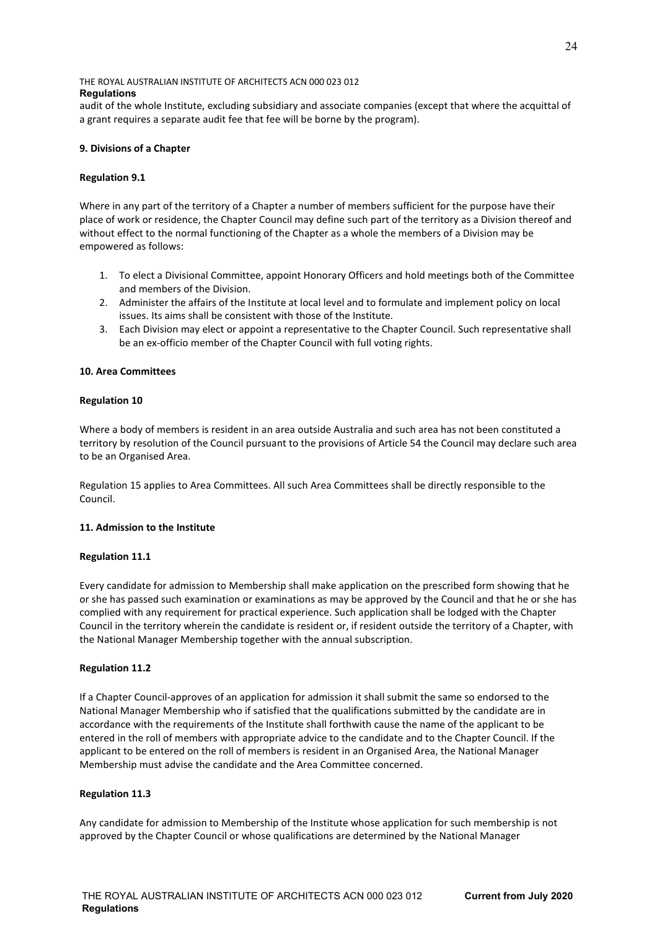audit of the whole Institute, excluding subsidiary and associate companies (except that where the acquittal of a grant requires a separate audit fee that fee will be borne by the program).

# **9. Divisions of a Chapter**

## **Regulation 9.1**

Where in any part of the territory of a Chapter a number of members sufficient for the purpose have their place of work or residence, the Chapter Council may define such part of the territory as a Division thereof and without effect to the normal functioning of the Chapter as a whole the members of a Division may be empowered as follows:

- 1. To elect a Divisional Committee, appoint Honorary Officers and hold meetings both of the Committee and members of the Division.
- 2. Administer the affairs of the Institute at local level and to formulate and implement policy on local issues. Its aims shall be consistent with those of the Institute.
- 3. Each Division may elect or appoint a representative to the Chapter Council. Such representative shall be an ex-officio member of the Chapter Council with full voting rights.

## **10. Area Committees**

## **Regulation 10**

Where a body of members is resident in an area outside Australia and such area has not been constituted a territory by resolution of the Council pursuant to the provisions of Article 54 the Council may declare such area to be an Organised Area.

Regulation 15 applies to Area Committees. All such Area Committees shall be directly responsible to the Council.

# **11. Admission to the Institute**

#### **Regulation 11.1**

Every candidate for admission to Membership shall make application on the prescribed form showing that he or she has passed such examination or examinations as may be approved by the Council and that he or she has complied with any requirement for practical experience. Such application shall be lodged with the Chapter Council in the territory wherein the candidate is resident or, if resident outside the territory of a Chapter, with the National Manager Membership together with the annual subscription.

#### **Regulation 11.2**

If a Chapter Council-approves of an application for admission it shall submit the same so endorsed to the National Manager Membership who if satisfied that the qualifications submitted by the candidate are in accordance with the requirements of the Institute shall forthwith cause the name of the applicant to be entered in the roll of members with appropriate advice to the candidate and to the Chapter Council. If the applicant to be entered on the roll of members is resident in an Organised Area, the National Manager Membership must advise the candidate and the Area Committee concerned.

#### **Regulation 11.3**

Any candidate for admission to Membership of the Institute whose application for such membership is not approved by the Chapter Council or whose qualifications are determined by the National Manager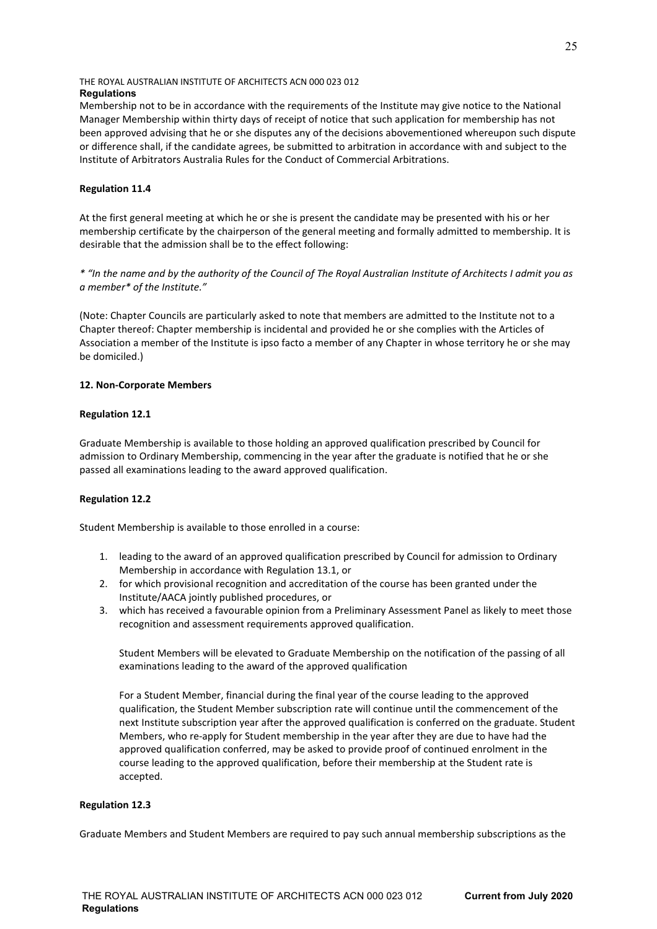Membership not to be in accordance with the requirements of the Institute may give notice to the National Manager Membership within thirty days of receipt of notice that such application for membership has not been approved advising that he or she disputes any of the decisions abovementioned whereupon such dispute or difference shall, if the candidate agrees, be submitted to arbitration in accordance with and subject to the Institute of Arbitrators Australia Rules for the Conduct of Commercial Arbitrations.

# **Regulation 11.4**

At the first general meeting at which he or she is present the candidate may be presented with his or her membership certificate by the chairperson of the general meeting and formally admitted to membership. It is desirable that the admission shall be to the effect following:

*\* "In the name and by the authority of the Council of The Royal Australian Institute of Architects I admit you as a member\* of the Institute."*

(Note: Chapter Councils are particularly asked to note that members are admitted to the Institute not to a Chapter thereof: Chapter membership is incidental and provided he or she complies with the Articles of Association a member of the Institute is ipso facto a member of any Chapter in whose territory he or she may be domiciled.)

# **12. Non-Corporate Members**

# **Regulation 12.1**

Graduate Membership is available to those holding an approved qualification prescribed by Council for admission to Ordinary Membership, commencing in the year after the graduate is notified that he or she passed all examinations leading to the award approved qualification.

# **Regulation 12.2**

Student Membership is available to those enrolled in a course:

- 1. leading to the award of an approved qualification prescribed by Council for admission to Ordinary Membership in accordance with Regulation 13.1, or
- 2. for which provisional recognition and accreditation of the course has been granted under the Institute/AACA jointly published procedures, or
- 3. which has received a favourable opinion from a Preliminary Assessment Panel as likely to meet those recognition and assessment requirements approved qualification.

Student Members will be elevated to Graduate Membership on the notification of the passing of all examinations leading to the award of the approved qualification

For a Student Member, financial during the final year of the course leading to the approved qualification, the Student Member subscription rate will continue until the commencement of the next Institute subscription year after the approved qualification is conferred on the graduate. Student Members, who re-apply for Student membership in the year after they are due to have had the approved qualification conferred, may be asked to provide proof of continued enrolment in the course leading to the approved qualification, before their membership at the Student rate is accepted.

# **Regulation 12.3**

Graduate Members and Student Members are required to pay such annual membership subscriptions as the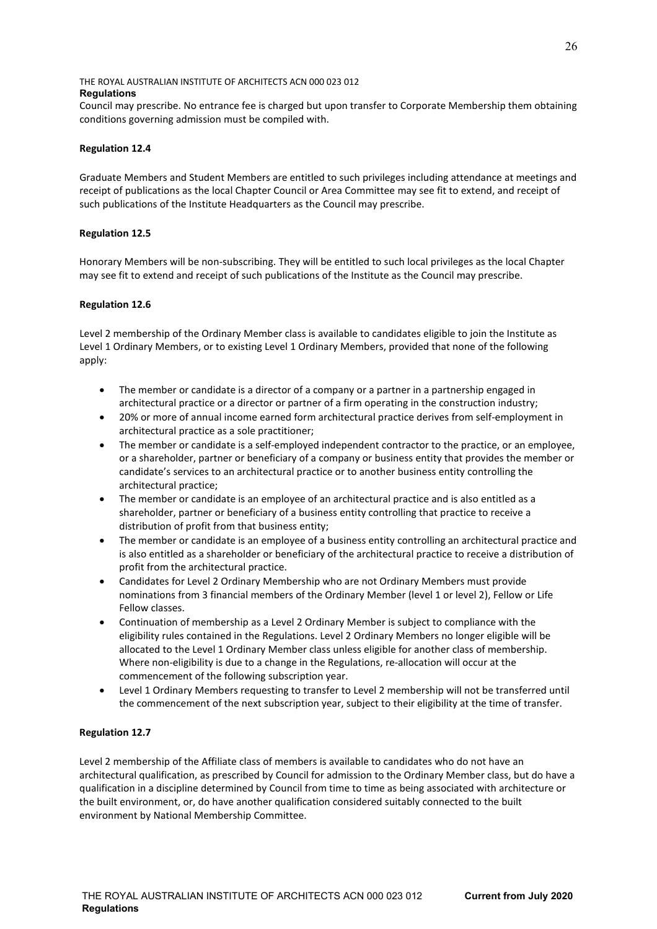Council may prescribe. No entrance fee is charged but upon transfer to Corporate Membership them obtaining conditions governing admission must be compiled with.

# **Regulation 12.4**

Graduate Members and Student Members are entitled to such privileges including attendance at meetings and receipt of publications as the local Chapter Council or Area Committee may see fit to extend, and receipt of such publications of the Institute Headquarters as the Council may prescribe.

# **Regulation 12.5**

Honorary Members will be non-subscribing. They will be entitled to such local privileges as the local Chapter may see fit to extend and receipt of such publications of the Institute as the Council may prescribe.

# **Regulation 12.6**

Level 2 membership of the Ordinary Member class is available to candidates eligible to join the Institute as Level 1 Ordinary Members, or to existing Level 1 Ordinary Members, provided that none of the following apply:

- The member or candidate is a director of a company or a partner in a partnership engaged in architectural practice or a director or partner of a firm operating in the construction industry;
- 20% or more of annual income earned form architectural practice derives from self-employment in architectural practice as a sole practitioner;
- The member or candidate is a self-employed independent contractor to the practice, or an employee, or a shareholder, partner or beneficiary of a company or business entity that provides the member or candidate's services to an architectural practice or to another business entity controlling the architectural practice;
- The member or candidate is an employee of an architectural practice and is also entitled as a shareholder, partner or beneficiary of a business entity controlling that practice to receive a distribution of profit from that business entity;
- The member or candidate is an employee of a business entity controlling an architectural practice and is also entitled as a shareholder or beneficiary of the architectural practice to receive a distribution of profit from the architectural practice.
- Candidates for Level 2 Ordinary Membership who are not Ordinary Members must provide nominations from 3 financial members of the Ordinary Member (level 1 or level 2), Fellow or Life Fellow classes.
- Continuation of membership as a Level 2 Ordinary Member is subject to compliance with the eligibility rules contained in the Regulations. Level 2 Ordinary Members no longer eligible will be allocated to the Level 1 Ordinary Member class unless eligible for another class of membership. Where non-eligibility is due to a change in the Regulations, re-allocation will occur at the commencement of the following subscription year.
- Level 1 Ordinary Members requesting to transfer to Level 2 membership will not be transferred until the commencement of the next subscription year, subject to their eligibility at the time of transfer.

# **Regulation 12.7**

Level 2 membership of the Affiliate class of members is available to candidates who do not have an architectural qualification, as prescribed by Council for admission to the Ordinary Member class, but do have a qualification in a discipline determined by Council from time to time as being associated with architecture or the built environment, or, do have another qualification considered suitably connected to the built environment by National Membership Committee.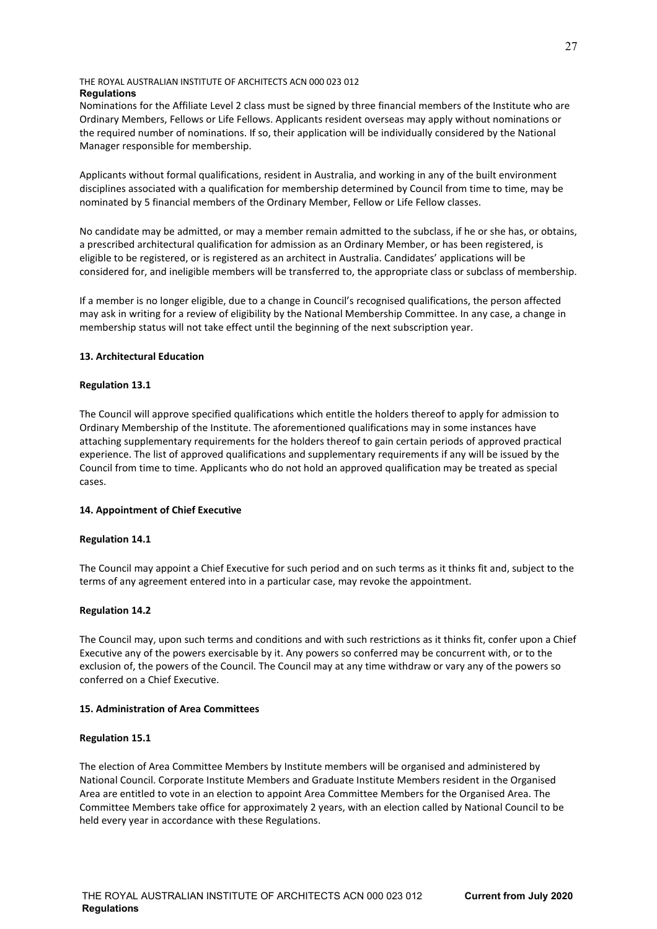Nominations for the Affiliate Level 2 class must be signed by three financial members of the Institute who are Ordinary Members, Fellows or Life Fellows. Applicants resident overseas may apply without nominations or the required number of nominations. If so, their application will be individually considered by the National Manager responsible for membership.

Applicants without formal qualifications, resident in Australia, and working in any of the built environment disciplines associated with a qualification for membership determined by Council from time to time, may be nominated by 5 financial members of the Ordinary Member, Fellow or Life Fellow classes.

No candidate may be admitted, or may a member remain admitted to the subclass, if he or she has, or obtains, a prescribed architectural qualification for admission as an Ordinary Member, or has been registered, is eligible to be registered, or is registered as an architect in Australia. Candidates' applications will be considered for, and ineligible members will be transferred to, the appropriate class or subclass of membership.

If a member is no longer eligible, due to a change in Council's recognised qualifications, the person affected may ask in writing for a review of eligibility by the National Membership Committee. In any case, a change in membership status will not take effect until the beginning of the next subscription year.

# **13. Architectural Education**

# **Regulation 13.1**

The Council will approve specified qualifications which entitle the holders thereof to apply for admission to Ordinary Membership of the Institute. The aforementioned qualifications may in some instances have attaching supplementary requirements for the holders thereof to gain certain periods of approved practical experience. The list of approved qualifications and supplementary requirements if any will be issued by the Council from time to time. Applicants who do not hold an approved qualification may be treated as special cases.

# **14. Appointment of Chief Executive**

#### **Regulation 14.1**

The Council may appoint a Chief Executive for such period and on such terms as it thinks fit and, subject to the terms of any agreement entered into in a particular case, may revoke the appointment.

# **Regulation 14.2**

The Council may, upon such terms and conditions and with such restrictions as it thinks fit, confer upon a Chief Executive any of the powers exercisable by it. Any powers so conferred may be concurrent with, or to the exclusion of, the powers of the Council. The Council may at any time withdraw or vary any of the powers so conferred on a Chief Executive.

#### **15. Administration of Area Committees**

#### **Regulation 15.1**

The election of Area Committee Members by Institute members will be organised and administered by National Council. Corporate Institute Members and Graduate Institute Members resident in the Organised Area are entitled to vote in an election to appoint Area Committee Members for the Organised Area. The Committee Members take office for approximately 2 years, with an election called by National Council to be held every year in accordance with these Regulations.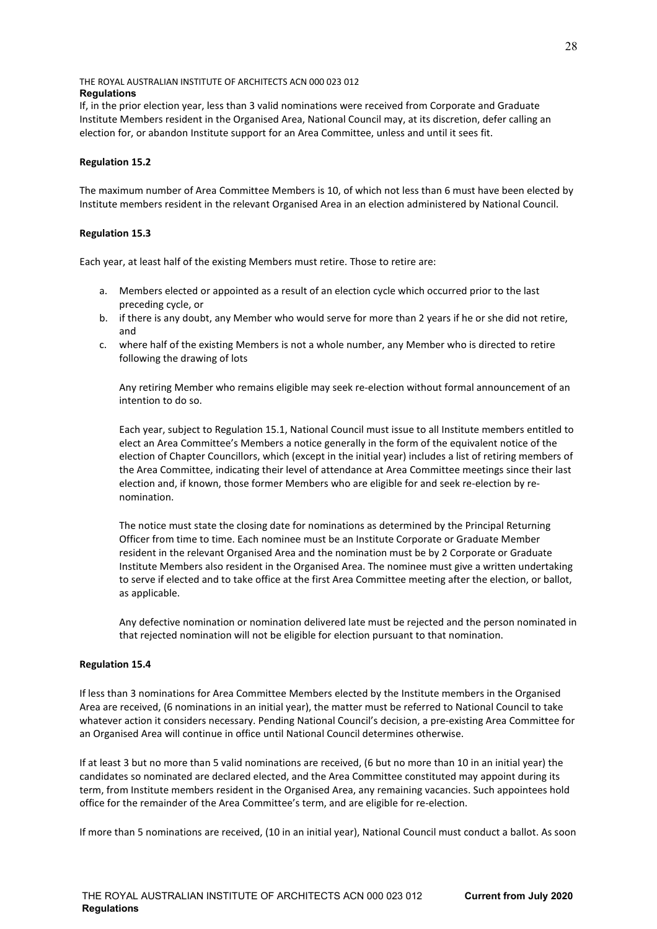If, in the prior election year, less than 3 valid nominations were received from Corporate and Graduate Institute Members resident in the Organised Area, National Council may, at its discretion, defer calling an election for, or abandon Institute support for an Area Committee, unless and until it sees fit.

## **Regulation 15.2**

The maximum number of Area Committee Members is 10, of which not less than 6 must have been elected by Institute members resident in the relevant Organised Area in an election administered by National Council.

#### **Regulation 15.3**

Each year, at least half of the existing Members must retire. Those to retire are:

- a. Members elected or appointed as a result of an election cycle which occurred prior to the last preceding cycle, or
- b. if there is any doubt, any Member who would serve for more than 2 years if he or she did not retire, and
- c. where half of the existing Members is not a whole number, any Member who is directed to retire following the drawing of lots

Any retiring Member who remains eligible may seek re-election without formal announcement of an intention to do so.

Each year, subject to Regulation 15.1, National Council must issue to all Institute members entitled to elect an Area Committee's Members a notice generally in the form of the equivalent notice of the election of Chapter Councillors, which (except in the initial year) includes a list of retiring members of the Area Committee, indicating their level of attendance at Area Committee meetings since their last election and, if known, those former Members who are eligible for and seek re-election by renomination.

The notice must state the closing date for nominations as determined by the Principal Returning Officer from time to time. Each nominee must be an Institute Corporate or Graduate Member resident in the relevant Organised Area and the nomination must be by 2 Corporate or Graduate Institute Members also resident in the Organised Area. The nominee must give a written undertaking to serve if elected and to take office at the first Area Committee meeting after the election, or ballot, as applicable.

Any defective nomination or nomination delivered late must be rejected and the person nominated in that rejected nomination will not be eligible for election pursuant to that nomination.

#### **Regulation 15.4**

If less than 3 nominations for Area Committee Members elected by the Institute members in the Organised Area are received, (6 nominations in an initial year), the matter must be referred to National Council to take whatever action it considers necessary. Pending National Council's decision, a pre-existing Area Committee for an Organised Area will continue in office until National Council determines otherwise.

If at least 3 but no more than 5 valid nominations are received, (6 but no more than 10 in an initial year) the candidates so nominated are declared elected, and the Area Committee constituted may appoint during its term, from Institute members resident in the Organised Area, any remaining vacancies. Such appointees hold office for the remainder of the Area Committee's term, and are eligible for re-election.

If more than 5 nominations are received, (10 in an initial year), National Council must conduct a ballot. As soon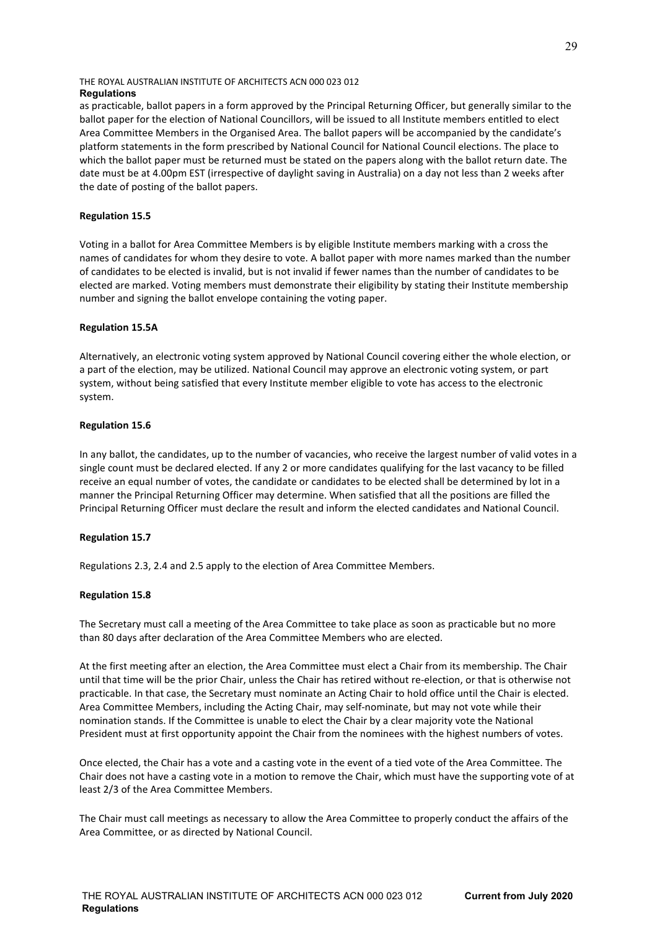as practicable, ballot papers in a form approved by the Principal Returning Officer, but generally similar to the ballot paper for the election of National Councillors, will be issued to all Institute members entitled to elect Area Committee Members in the Organised Area. The ballot papers will be accompanied by the candidate's platform statements in the form prescribed by National Council for National Council elections. The place to which the ballot paper must be returned must be stated on the papers along with the ballot return date. The date must be at 4.00pm EST (irrespective of daylight saving in Australia) on a day not less than 2 weeks after the date of posting of the ballot papers.

# **Regulation 15.5**

Voting in a ballot for Area Committee Members is by eligible Institute members marking with a cross the names of candidates for whom they desire to vote. A ballot paper with more names marked than the number of candidates to be elected is invalid, but is not invalid if fewer names than the number of candidates to be elected are marked. Voting members must demonstrate their eligibility by stating their Institute membership number and signing the ballot envelope containing the voting paper.

# **Regulation 15.5A**

Alternatively, an electronic voting system approved by National Council covering either the whole election, or a part of the election, may be utilized. National Council may approve an electronic voting system, or part system, without being satisfied that every Institute member eligible to vote has access to the electronic system.

## **Regulation 15.6**

In any ballot, the candidates, up to the number of vacancies, who receive the largest number of valid votes in a single count must be declared elected. If any 2 or more candidates qualifying for the last vacancy to be filled receive an equal number of votes, the candidate or candidates to be elected shall be determined by lot in a manner the Principal Returning Officer may determine. When satisfied that all the positions are filled the Principal Returning Officer must declare the result and inform the elected candidates and National Council.

# **Regulation 15.7**

Regulations 2.3, 2.4 and 2.5 apply to the election of Area Committee Members.

# **Regulation 15.8**

The Secretary must call a meeting of the Area Committee to take place as soon as practicable but no more than 80 days after declaration of the Area Committee Members who are elected.

At the first meeting after an election, the Area Committee must elect a Chair from its membership. The Chair until that time will be the prior Chair, unless the Chair has retired without re-election, or that is otherwise not practicable. In that case, the Secretary must nominate an Acting Chair to hold office until the Chair is elected. Area Committee Members, including the Acting Chair, may self-nominate, but may not vote while their nomination stands. If the Committee is unable to elect the Chair by a clear majority vote the National President must at first opportunity appoint the Chair from the nominees with the highest numbers of votes.

Once elected, the Chair has a vote and a casting vote in the event of a tied vote of the Area Committee. The Chair does not have a casting vote in a motion to remove the Chair, which must have the supporting vote of at least 2/3 of the Area Committee Members.

The Chair must call meetings as necessary to allow the Area Committee to properly conduct the affairs of the Area Committee, or as directed by National Council.